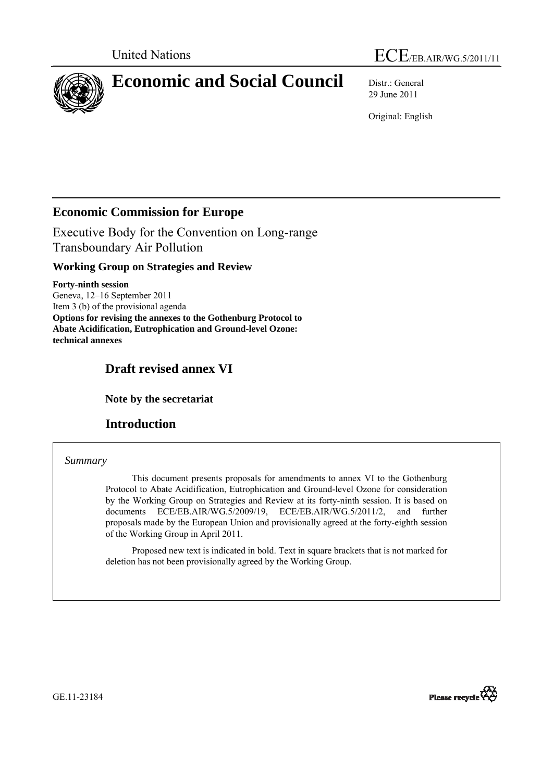



# **Economic and Social Council** Distr.: General

29 June 2011

Original: English

# **Economic Commission for Europe**

Executive Body for the Convention on Long-range Transboundary Air Pollution

# **Working Group on Strategies and Review**

**Forty-ninth session**  Geneva, 12–16 September 2011 Item 3 (b) of the provisional agenda **Options for revising the annexes to the Gothenburg Protocol to Abate Acidification, Eutrophication and Ground-level Ozone: technical annexes** 

# **Draft revised annex VI**

 **Note by the secretariat** 

# **Introduction**

# *Summary*

 This document presents proposals for amendments to annex VI to the Gothenburg Protocol to Abate Acidification, Eutrophication and Ground-level Ozone for consideration by the Working Group on Strategies and Review at its forty-ninth session. It is based on documents ECE/EB.AIR/WG.5/2009/19, ECE/EB.AIR/WG.5/2011/2, and further proposals made by the European Union and provisionally agreed at the forty-eighth session of the Working Group in April 2011.

 Proposed new text is indicated in bold. Text in square brackets that is not marked for deletion has not been provisionally agreed by the Working Group.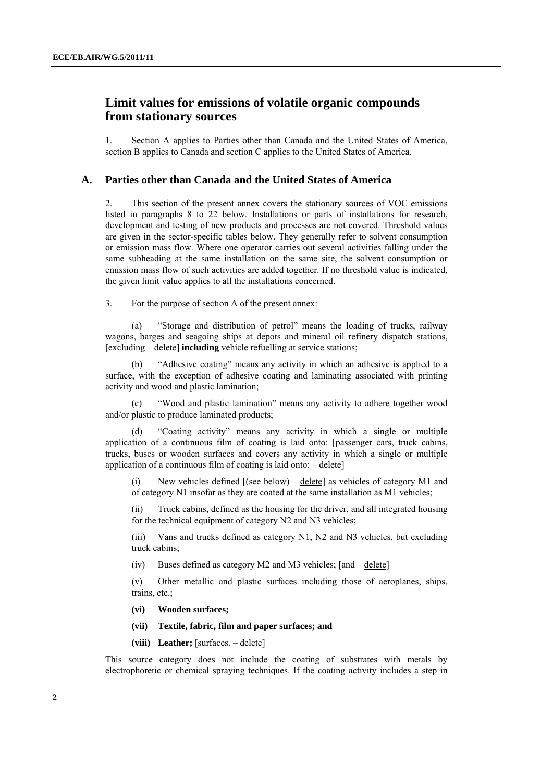# **Limit values for emissions of volatile organic compounds from stationary sources**

1. Section A applies to Parties other than Canada and the United States of America, section B applies to Canada and section C applies to the United States of America.

#### **A. Parties other than Canada and the United States of America**

2. This section of the present annex covers the stationary sources of VOC emissions listed in paragraphs 8 to 22 below. Installations or parts of installations for research, development and testing of new products and processes are not covered. Threshold values are given in the sector-specific tables below. They generally refer to solvent consumption or emission mass flow. Where one operator carries out several activities falling under the same subheading at the same installation on the same site, the solvent consumption or emission mass flow of such activities are added together. If no threshold value is indicated, the given limit value applies to all the installations concerned.

3. For the purpose of section A of the present annex:

 (a) "Storage and distribution of petrol" means the loading of trucks, railway wagons, barges and seagoing ships at depots and mineral oil refinery dispatch stations, [excluding – delete] **including** vehicle refuelling at service stations;

 (b) "Adhesive coating" means any activity in which an adhesive is applied to a surface, with the exception of adhesive coating and laminating associated with printing activity and wood and plastic lamination;

 (c) "Wood and plastic lamination" means any activity to adhere together wood and/or plastic to produce laminated products;

"Coating activity" means any activity in which a single or multiple application of a continuous film of coating is laid onto: [passenger cars, truck cabins, trucks, buses or wooden surfaces and covers any activity in which a single or multiple application of a continuous film of coating is laid onto:  $-\text{delete}$ 

(i) New vehicles defined [(see below) – delete] as vehicles of category M1 and of category N1 insofar as they are coated at the same installation as M1 vehicles;

(ii) Truck cabins, defined as the housing for the driver, and all integrated housing for the technical equipment of category N2 and N3 vehicles;

(iii) Vans and trucks defined as category N1, N2 and N3 vehicles, but excluding truck cabins;

(iv) Buses defined as category M2 and M3 vehicles; [and – delete]

(v) Other metallic and plastic surfaces including those of aeroplanes, ships, trains, etc.;

- **(vi) Wooden surfaces;**
- **(vii) Textile, fabric, film and paper surfaces; and**

(viii) Leather; [surfaces. – delete]

This source category does not include the coating of substrates with metals by electrophoretic or chemical spraying techniques. If the coating activity includes a step in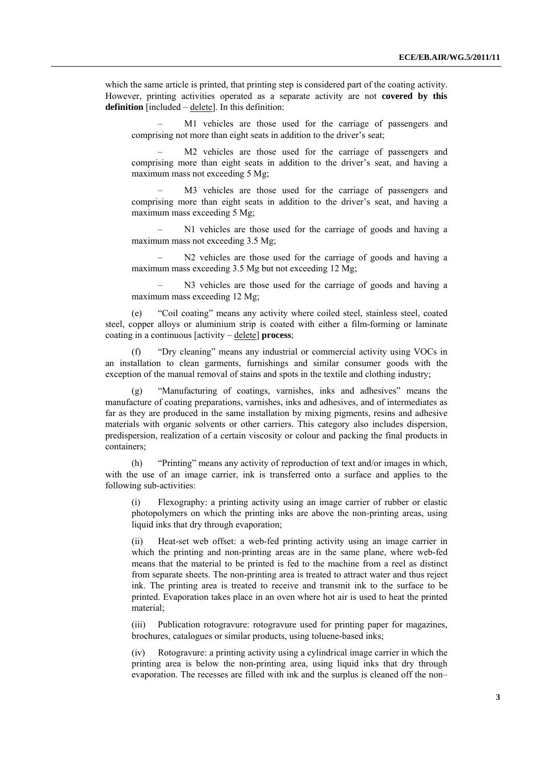which the same article is printed, that printing step is considered part of the coating activity. However, printing activities operated as a separate activity are not **covered by this definition** [included – delete]. In this definition:

M1 vehicles are those used for the carriage of passengers and comprising not more than eight seats in addition to the driver's seat;

M2 vehicles are those used for the carriage of passengers and comprising more than eight seats in addition to the driver's seat, and having a maximum mass not exceeding 5 Mg;

M3 vehicles are those used for the carriage of passengers and comprising more than eight seats in addition to the driver's seat, and having a maximum mass exceeding 5 Mg;

 – N1 vehicles are those used for the carriage of goods and having a maximum mass not exceeding 3.5 Mg;

 – N2 vehicles are those used for the carriage of goods and having a maximum mass exceeding 3.5 Mg but not exceeding 12 Mg;

 – N3 vehicles are those used for the carriage of goods and having a maximum mass exceeding 12 Mg;

 (e) "Coil coating" means any activity where coiled steel, stainless steel, coated steel, copper alloys or aluminium strip is coated with either a film-forming or laminate coating in a continuous [activity – delete] **process**;

"Dry cleaning" means any industrial or commercial activity using VOCs in an installation to clean garments, furnishings and similar consumer goods with the exception of the manual removal of stains and spots in the textile and clothing industry;

 (g) "Manufacturing of coatings, varnishes, inks and adhesives" means the manufacture of coating preparations, varnishes, inks and adhesives, and of intermediates as far as they are produced in the same installation by mixing pigments, resins and adhesive materials with organic solvents or other carriers. This category also includes dispersion, predispersion, realization of a certain viscosity or colour and packing the final products in containers;

 (h) "Printing" means any activity of reproduction of text and/or images in which, with the use of an image carrier, ink is transferred onto a surface and applies to the following sub-activities:

(i) Flexography: a printing activity using an image carrier of rubber or elastic photopolymers on which the printing inks are above the non-printing areas, using liquid inks that dry through evaporation;

(ii) Heat-set web offset: a web-fed printing activity using an image carrier in which the printing and non-printing areas are in the same plane, where web-fed means that the material to be printed is fed to the machine from a reel as distinct from separate sheets. The non-printing area is treated to attract water and thus reject ink. The printing area is treated to receive and transmit ink to the surface to be printed. Evaporation takes place in an oven where hot air is used to heat the printed material;

(iii) Publication rotogravure: rotogravure used for printing paper for magazines, brochures, catalogues or similar products, using toluene-based inks;

(iv) Rotogravure: a printing activity using a cylindrical image carrier in which the printing area is below the non-printing area, using liquid inks that dry through evaporation. The recesses are filled with ink and the surplus is cleaned off the non–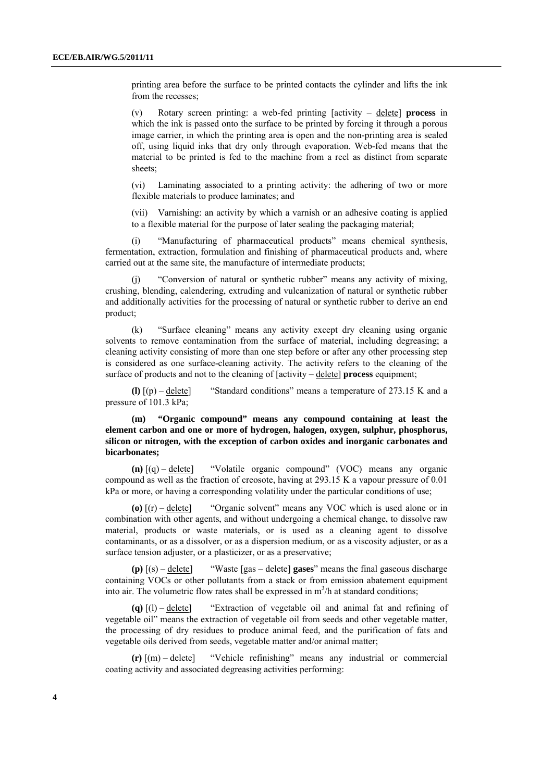printing area before the surface to be printed contacts the cylinder and lifts the ink from the recesses;

(v) Rotary screen printing: a web-fed printing [activity – delete] **process** in which the ink is passed onto the surface to be printed by forcing it through a porous image carrier, in which the printing area is open and the non-printing area is sealed off, using liquid inks that dry only through evaporation. Web-fed means that the material to be printed is fed to the machine from a reel as distinct from separate sheets;

(vi) Laminating associated to a printing activity: the adhering of two or more flexible materials to produce laminates; and

(vii) Varnishing: an activity by which a varnish or an adhesive coating is applied to a flexible material for the purpose of later sealing the packaging material;

 (i) "Manufacturing of pharmaceutical products" means chemical synthesis, fermentation, extraction, formulation and finishing of pharmaceutical products and, where carried out at the same site, the manufacture of intermediate products;

"Conversion of natural or synthetic rubber" means any activity of mixing, crushing, blending, calendering, extruding and vulcanization of natural or synthetic rubber and additionally activities for the processing of natural or synthetic rubber to derive an end product;

 (k) "Surface cleaning" means any activity except dry cleaning using organic solvents to remove contamination from the surface of material, including degreasing; a cleaning activity consisting of more than one step before or after any other processing step is considered as one surface-cleaning activity. The activity refers to the cleaning of the surface of products and not to the cleaning of [activity – delete] **process** equipment;

**(l)**  $[(p) - \text{delete}]$  "Standard conditions" means a temperature of 273.15 K and a pressure of 101.3 kPa;

 **(m) "Organic compound" means any compound containing at least the element carbon and one or more of hydrogen, halogen, oxygen, sulphur, phosphorus, silicon or nitrogen, with the exception of carbon oxides and inorganic carbonates and bicarbonates;** 

**(n)** [(q) – delete] "Volatile organic compound" (VOC) means any organic compound as well as the fraction of creosote, having at 293.15 K a vapour pressure of 0.01 kPa or more, or having a corresponding volatility under the particular conditions of use;

**(o)** [(r) – delete] "Organic solvent" means any VOC which is used alone or in combination with other agents, and without undergoing a chemical change, to dissolve raw material, products or waste materials, or is used as a cleaning agent to dissolve contaminants, or as a dissolver, or as a dispersion medium, or as a viscosity adjuster, or as a surface tension adjuster, or a plasticizer, or as a preservative;

**(p)** [(s) – delete] "Waste [gas – delete] **gases**" means the final gaseous discharge containing VOCs or other pollutants from a stack or from emission abatement equipment into air. The volumetric flow rates shall be expressed in  $m^3/h$  at standard conditions;

**(q)** [(l) – delete] "Extraction of vegetable oil and animal fat and refining of vegetable oil" means the extraction of vegetable oil from seeds and other vegetable matter, the processing of dry residues to produce animal feed, and the purification of fats and vegetable oils derived from seeds, vegetable matter and/or animal matter;

**(r)** [(m) – delete] "Vehicle refinishing" means any industrial or commercial coating activity and associated degreasing activities performing: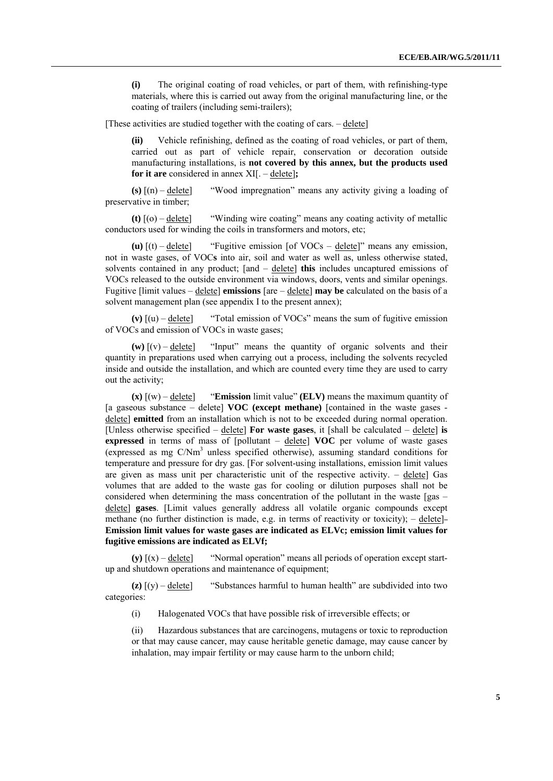**(i)** The original coating of road vehicles, or part of them, with refinishing-type materials, where this is carried out away from the original manufacturing line, or the coating of trailers (including semi-trailers);

[These activities are studied together with the coating of cars. – delete]

**(ii)** Vehicle refinishing, defined as the coating of road vehicles, or part of them, carried out as part of vehicle repair, conservation or decoration outside manufacturing installations, is **not covered by this annex, but the products used for it are** considered in annex XI[. – delete]**;** 

**(s)** [(n) – delete] "Wood impregnation" means any activity giving a loading of preservative in timber;

**(t)** [(o) – delete] "Winding wire coating" means any coating activity of metallic conductors used for winding the coils in transformers and motors, etc;

**(u)**  $[(t) - \text{delete}]$  "Fugitive emission  $[\text{of VOCs} - \text{delete}]$ " means any emission, not in waste gases, of VOC**s** into air, soil and water as well as, unless otherwise stated, solvents contained in any product; [and – delete] **this** includes uncaptured emissions of VOCs released to the outside environment via windows, doors, vents and similar openings. Fugitive [limit values – delete] **emissions** [are – delete] **may be** calculated on the basis of a solvent management plan (see appendix I to the present annex);

(v)  $[(u) -$  delete] "Total emission of VOCs" means the sum of fugitive emission of VOCs and emission of VOCs in waste gases;

 $(w)$   $[(v) -$  delete] "Input" means the quantity of organic solvents and their quantity in preparations used when carrying out a process, including the solvents recycled inside and outside the installation, and which are counted every time they are used to carry out the activity;

 $(\mathbf{x})$   $[(\mathbf{w}) - \text{delete}]$  **"Emission** limit value" **(ELV)** means the maximum quantity of [a gaseous substance – delete] **VOC (except methane)** [contained in the waste gases delete] **emitted** from an installation which is not to be exceeded during normal operation. [Unless otherwise specified – delete] **For waste gases**, it [shall be calculated – delete] **is expressed** in terms of mass of [pollutant – delete] **VOC** per volume of waste gases (expressed as mg  $C/Nm<sup>3</sup>$  unless specified otherwise), assuming standard conditions for temperature and pressure for dry gas. [For solvent-using installations, emission limit values are given as mass unit per characteristic unit of the respective activity.  $-$  delete] Gas volumes that are added to the waste gas for cooling or dilution purposes shall not be considered when determining the mass concentration of the pollutant in the waste  $(gas$ delete] **gases**. [Limit values generally address all volatile organic compounds except methane (no further distinction is made, e.g. in terms of reactivity or toxicity);  $-\text{delete}$ **Emission limit values for waste gases are indicated as ELVc; emission limit values for fugitive emissions are indicated as ELVf;** 

**(y)** [(x) – delete] "Normal operation" means all periods of operation except startup and shutdown operations and maintenance of equipment;

 $\bf{z}$ )  $\bf{v}$  = delete<sup>]</sup> "Substances harmful to human health" are subdivided into two categories:

(i) Halogenated VOCs that have possible risk of irreversible effects; or

(ii) Hazardous substances that are carcinogens, mutagens or toxic to reproduction or that may cause cancer, may cause heritable genetic damage, may cause cancer by inhalation, may impair fertility or may cause harm to the unborn child;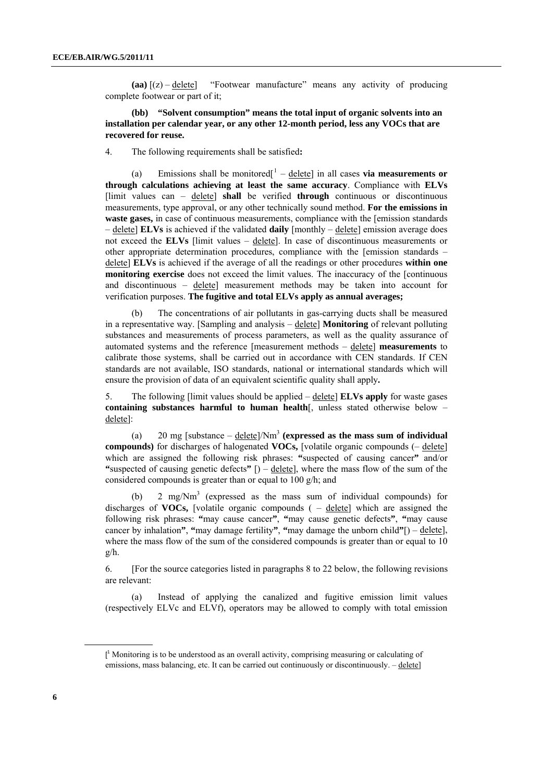<span id="page-5-0"></span>**(aa)** [(z) – delete] "Footwear manufacture" means any activity of producing complete footwear or part of it;

 **(bb) "Solvent consumption" means the total input of organic solvents into an installation per calendar year, or any other 12-month period, less any VOCs that are recovered for reuse.**

4. The following requirements shall be satisfied**:**

(a) Emissions shall be monitored<sup> $1$ </sup> – delete in all cases **via measurements or through calculations achieving at least the same accuracy**. Compliance with **ELVs**  [limit values can – delete] **shall** be verified **through** continuous or discontinuous measurements, type approval, or any other technically sound method. **For the emissions in waste gases,** in case of continuous measurements, compliance with the [emission standards – delete] **ELVs** is achieved if the validated **daily** [monthly – delete] emission average does not exceed the **ELVs** [limit values – delete]. In case of discontinuous measurements or other appropriate determination procedures, compliance with the [emission standards – delete] **ELVs** is achieved if the average of all the readings or other procedures **within one monitoring exercise** does not exceed the limit values. The inaccuracy of the [continuous and discontinuous – delete] measurement methods may be taken into account for verification purposes. **The fugitive and total ELVs apply as annual averages;**

 (b) The concentrations of air pollutants in gas-carrying ducts shall be measured in a representative way. [Sampling and analysis – delete] **Monitoring** of relevant polluting substances and measurements of process parameters, as well as the quality assurance of automated systems and the reference [measurement methods – delete] **measurements** to calibrate those systems, shall be carried out in accordance with CEN standards. If CEN standards are not available, ISO standards, national or international standards which will ensure the provision of data of an equivalent scientific quality shall apply**.**

5. The following [limit values should be applied – delete] **ELVs apply** for waste gases **containing substances harmful to human health**[, unless stated otherwise below – delete]:

 (a) 20 mg [substance – delete]/Nm3 **(expressed as the mass sum of individual compounds)** for discharges of halogenated **VOCs,** [volatile organic compounds (– delete] which are assigned the following risk phrases: **"**suspected of causing cancer**"** and/or **"**suspected of causing genetic defects**"** [) – delete], where the mass flow of the sum of the considered compounds is greater than or equal to 100 g/h; and

(b) 2 mg/ $Nm<sup>3</sup>$  (expressed as the mass sum of individual compounds) for discharges of **VOCs,** [volatile organic compounds ( – delete] which are assigned the following risk phrases: **"**may cause cancer**"**, **"**may cause genetic defects**"**, **"**may cause cancer by inhalation**"**, **"**may damage fertility**"**, **"**may damage the unborn child**"**[) – delete], where the mass flow of the sum of the considered compounds is greater than or equal to 10 g/h.

6. [For the source categories listed in paragraphs 8 to 22 below, the following revisions are relevant:

 (a) Instead of applying the canalized and fugitive emission limit values (respectively ELVc and ELVf), operators may be allowed to comply with total emission

 $[$ <sup>1</sup> Monitoring is to be understood as an overall activity, comprising measuring or calculating of emissions, mass balancing, etc. It can be carried out continuously or discontinuously. – delete]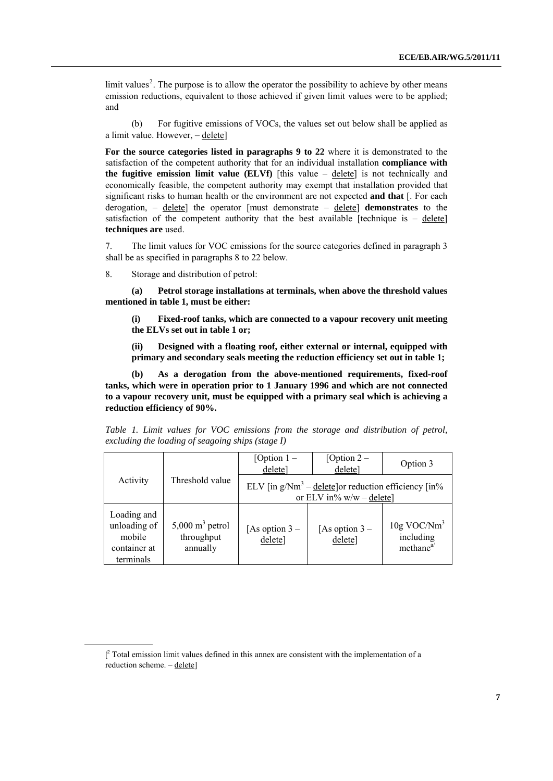$\text{limit values}^2$  $\text{limit values}^2$ . The purpose is to allow the operator the possibility to achieve by other means emission reductions, equivalent to those achieved if given limit values were to be applied; and

 (b) For fugitive emissions of VOCs, the values set out below shall be applied as a limit value. However, – delete]

**For the source categories listed in paragraphs 9 to 22** where it is demonstrated to the satisfaction of the competent authority that for an individual installation **compliance with the fugitive emission limit value (ELVf)** [this value – delete] is not technically and economically feasible, the competent authority may exempt that installation provided that significant risks to human health or the environment are not expected **and that** [. For each derogation, – delete] the operator [must demonstrate – delete] **demonstrates** to the satisfaction of the competent authority that the best available [technique is – delete] **techniques are** used.

<span id="page-6-0"></span>7. The limit values for VOC emissions for the source categories defined in paragraph 3 shall be as specified in paragraphs 8 to 22 below.

8. Storage and distribution of petrol:

 **(a) Petrol storage installations at terminals, when above the threshold values mentioned in table 1, must be either:** 

 **(i) Fixed-roof tanks, which are connected to a vapour recovery unit meeting the ELVs set out in table 1 or;** 

 **(ii) Designed with a floating roof, either external or internal, equipped with primary and secondary seals meeting the reduction efficiency set out in table 1;** 

 **(b) As a derogation from the above-mentioned requirements, fixed-roof tanks, which were in operation prior to 1 January 1996 and which are not connected to a vapour recovery unit, must be equipped with a primary seal which is achieving a reduction efficiency of 90%.**

|                                                                    |                                                      | [Option $1-$<br>delete]                                                              | [Option $2-$<br>delete]    | Option 3                                                      |
|--------------------------------------------------------------------|------------------------------------------------------|--------------------------------------------------------------------------------------|----------------------------|---------------------------------------------------------------|
| Activity                                                           | Threshold value                                      | ELV [in $g/m^3$ – delete] or reduction efficiency [in%<br>or ELV in% $w/w -$ delete] |                            |                                                               |
| Loading and<br>unloading of<br>mobile<br>container at<br>terminals | $5,000 \text{ m}^3$ petrol<br>throughput<br>annually | [As option $3-$<br>delete]                                                           | [As option $3-$<br>delete] | $10g$ VOC/Nm <sup>3</sup><br>including<br>method <sup>a</sup> |

*Table 1. Limit values for VOC emissions from the storage and distribution of petrol, excluding the loading of seagoing ships (stage I)* 

 $[$  $\int_{0}^{2}$  Total emission limit values defined in this annex are consistent with the implementation of a reduction scheme. – delete]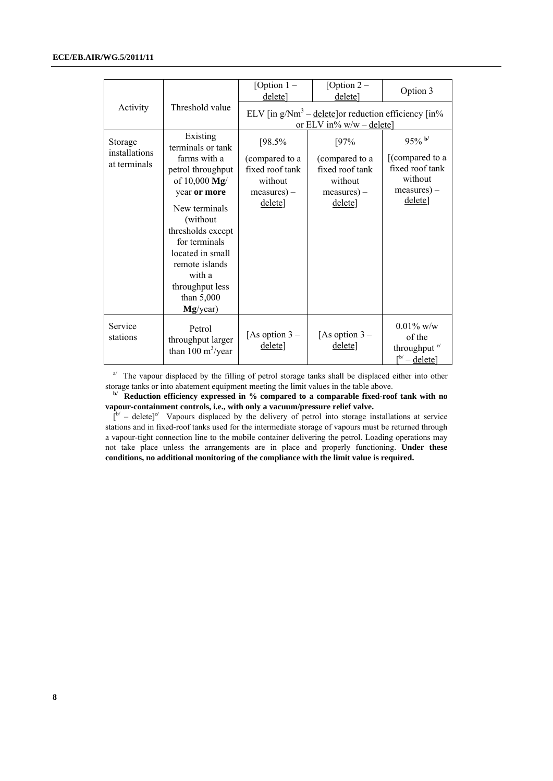|                                          |                                                                                                                                                                                                                                                    | [Option $1 -$<br>delete]                                                            | [Option $2-$<br>delete]                                                               | Option 3                                                                                  |  |  |  |
|------------------------------------------|----------------------------------------------------------------------------------------------------------------------------------------------------------------------------------------------------------------------------------------------------|-------------------------------------------------------------------------------------|---------------------------------------------------------------------------------------|-------------------------------------------------------------------------------------------|--|--|--|
| Activity                                 | Threshold value                                                                                                                                                                                                                                    |                                                                                     | ELV [in $g/Nm^3$ – delete] or reduction efficiency [in%<br>or ELV in% $w/w -$ delete] |                                                                                           |  |  |  |
| Storage<br>installations<br>at terminals | Existing<br>terminals or tank<br>farms with a<br>petrol throughput<br>of $10,000 \text{ Mg}$<br>year or more<br>New terminals<br>(without<br>thresholds except<br>for terminals<br>located in small<br>remote islands<br>with a<br>throughput less | [98.5%<br>(compared to a<br>fixed roof tank<br>without<br>$measures$ ) –<br>delete] | [97%<br>(compared to a<br>fixed roof tank<br>without<br>$measures$ ) –<br>delete]     | $95\%$ b/<br>[(compared to a<br>fixed roof tank<br>without<br>$measures$ ) –<br>delete]   |  |  |  |
|                                          | than $5,000$<br>Mg/year)                                                                                                                                                                                                                           |                                                                                     |                                                                                       |                                                                                           |  |  |  |
| Service<br>stations                      | Petrol<br>throughput larger<br>than 100 $m^3$ /year                                                                                                                                                                                                | [As option $3-$<br>delete]                                                          | [As option $3-$<br>delete]                                                            | $0.01\%$ w/w<br>of the<br>throughput <sup>c/</sup><br>$\lceil^{b'} - \text{delete}\rceil$ |  |  |  |

<sup>a</sup> The vapour displaced by the filling of petrol storage tanks shall be displaced either into other storage tanks or into abatement equipment meeting the limit values in the table above.

**b/** Reduction efficiency expressed in % compared to a comparable fixed-roof tank with no **vapour-containment controls, i.e., with only a vacuum/pressure relief valve.** 

 $\int_{0}^{b'}$  – delete]<sup>c</sup>/ Vapours displaced by the delivery of petrol into storage installations at service stations and in fixed-roof tanks used for the intermediate storage of vapours must be returned through a vapour-tight connection line to the mobile container delivering the petrol. Loading operations may not take place unless the arrangements are in place and properly functioning. **Under these conditions, no additional monitoring of the compliance with the limit value is required.**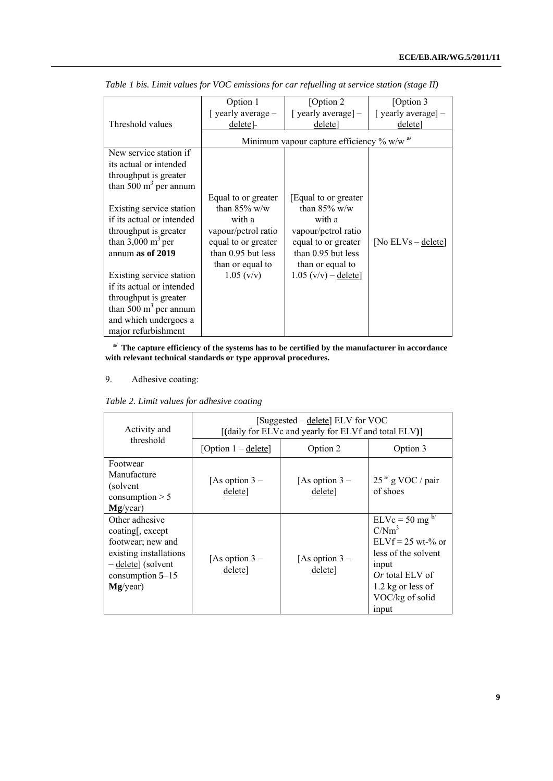|                              | Option 1             | [Option 2]                                     | [Option 3             |
|------------------------------|----------------------|------------------------------------------------|-----------------------|
|                              | [ yearly average $-$ | [ yearly average] -                            | [ yearly average] -   |
| Threshold values             | delete]              | delete]                                        | delete]               |
|                              |                      | Minimum vapour capture efficiency $\%$ w/w $a$ |                       |
| New service station if       |                      |                                                |                       |
| its actual or intended       |                      |                                                |                       |
| throughput is greater        |                      |                                                |                       |
| than 500 $m3$ per annum      |                      |                                                |                       |
|                              | Equal to or greater  | [Equal to or greater]                          |                       |
| Existing service station     | than $85\%$ w/w      | than $85\%$ w/w                                |                       |
| if its actual or intended    | with a               | with a                                         |                       |
| throughput is greater        | vapour/petrol ratio  | vapour/petrol ratio                            |                       |
| than $3,000 \text{ m}^3$ per | equal to or greater  | equal to or greater                            | [No $ELVs - delete$ ] |
| annum as of 2019             | than 0.95 but less   | than 0.95 but less                             |                       |
|                              | than or equal to     | than or equal to                               |                       |
| Existing service station     | $1.05 \, (v/v)$      | $1.05 (v/v) -$ delete]                         |                       |
| if its actual or intended    |                      |                                                |                       |
| throughput is greater        |                      |                                                |                       |
| than 500 $m3$ per annum      |                      |                                                |                       |
| and which undergoes a        |                      |                                                |                       |
| major refurbishment          |                      |                                                |                       |

*Table 1 bis. Limit values for VOC emissions for car refuelling at service station (stage II)* 

**a/ The capture efficiency of the systems has to be certified by the manufacturer in accordance with relevant technical standards or type approval procedures.**

# 9. Adhesive coating:

|  |  | Table 2. Limit values for adhesive coating |  |
|--|--|--------------------------------------------|--|
|  |  |                                            |  |

| Activity and                                                                                                                                    | [Suggested – delete] ELV for VOC<br>[(daily for ELVc and yearly for ELVf and total ELV)] |                            |                                                                                                                                                                           |  |
|-------------------------------------------------------------------------------------------------------------------------------------------------|------------------------------------------------------------------------------------------|----------------------------|---------------------------------------------------------------------------------------------------------------------------------------------------------------------------|--|
| threshold                                                                                                                                       | [Option $1 -$ delete]                                                                    | Option 2                   | Option 3                                                                                                                                                                  |  |
| Footwear<br>Manufacture<br>(solvent<br>consumption $> 5$<br>Mg/year)                                                                            | [As option $3-$<br>delete]                                                               | [As option $3-$<br>delete] | $25a$ g VOC / pair<br>of shoes                                                                                                                                            |  |
| Other adhesive<br>coating, except<br>footwear; new and<br>existing installations<br>$-\text{delete}$ (solvent<br>consumption $5-15$<br>Mg/year) | [As option $3-$<br>delete]                                                               | [As option $3-$<br>delete] | $ELVc = 50$ mg $b$<br>C/Nm <sup>3</sup><br>$ELVf = 25$ wt-% or<br>less of the solvent<br>input<br><i>Or</i> total ELV of<br>1.2 kg or less of<br>VOC/kg of solid<br>input |  |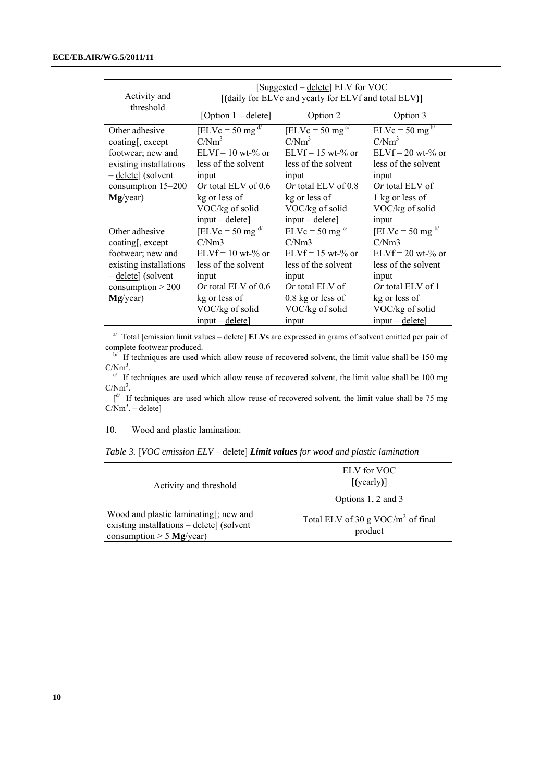| Activity and                                                                                                                              | [Suggested – delete] ELV for VOC<br>[(daily for ELVc and yearly for ELVf and total ELV)]                                                                                                             |                                                                                                                                                                                               |                                                                                                                                                                           |  |
|-------------------------------------------------------------------------------------------------------------------------------------------|------------------------------------------------------------------------------------------------------------------------------------------------------------------------------------------------------|-----------------------------------------------------------------------------------------------------------------------------------------------------------------------------------------------|---------------------------------------------------------------------------------------------------------------------------------------------------------------------------|--|
| threshold                                                                                                                                 | [Option $1 -$ delete]                                                                                                                                                                                | Option 2                                                                                                                                                                                      | Option 3                                                                                                                                                                  |  |
| Other adhesive<br>coating, except<br>footwear; new and<br>existing installations<br>- delete] (solvent<br>consumption 15-200<br>Mg/year)  | [ELVc = 50 mg <sup>d/</sup><br>C/Nm <sup>3</sup><br>$ELVf = 10$ wt-% or<br>less of the solvent<br>input<br>Or total ELV of $0.6$<br>kg or less of<br>VOC/kg of solid                                 | $[ELVc = 50 mgc/]$<br>C/Nm <sup>3</sup><br>$ELVf = 15$ wt-% or<br>less of the solvent<br>input<br>Or total ELV of $0.8$<br>kg or less of<br>VOC/kg of solid                                   | $ELVc = 50$ mg <sup>b/</sup><br>C/Nm <sup>3</sup><br>$ELVf = 20$ wt-% or<br>less of the solvent<br>input<br>Or total ELV of<br>1 kg or less of<br>VOC/kg of solid         |  |
| Other adhesive<br>coating, except<br>footwear; new and<br>existing installations<br>- delete] (solvent<br>consumption $> 200$<br>Mg/year) | $input - delete$<br>[ELVc = 50 mg $\frac{dV}{dt}$<br>C/Nm3<br>$ELVf = 10$ wt-% or<br>less of the solvent<br>input<br>Or total ELV of $0.6$<br>kg or less of<br>VOC/kg of solid<br>$input - delete$ ] | $input - delete$<br>$ELVc = 50$ mg <sup>c/</sup><br>C/Nm3<br>$ELVf = 15$ wt-% or<br>less of the solvent<br>input<br><i>Or</i> total ELV of<br>$0.8$ kg or less of<br>VOC/kg of solid<br>input | input<br>$[ELVc = 50 mg^{b}$<br>C/Nm3<br>$ELVf = 20$ wt-% or<br>less of the solvent<br>input<br>Or total ELV of 1<br>kg or less of<br>VOC/kg of solid<br>$input - delete$ |  |

<sup>a</sup> Total [emission limit values – delete] **ELVs** are expressed in grams of solvent emitted per pair of complete footwear produced.<br>b/ If techniques are used which allow reuse of recovered solvent, the limit value shall be 150 mg

 $C/Nm<sup>3</sup>$ .

 $\epsilon$ <sup>c</sup> If techniques are used which allow reuse of recovered solvent, the limit value shall be 100 mg  $C/Nm^3$ .

 $\int d^4$  If techniques are used which allow reuse of recovered solvent, the limit value shall be 75 mg  $C/Nm^3 -$  delete]

10. Wood and plastic lamination:

| Table 3. [VOC emission $ELV -$ delete] Limit values for wood and plastic lamination |  |  |  |  |  |  |  |
|-------------------------------------------------------------------------------------|--|--|--|--|--|--|--|
|-------------------------------------------------------------------------------------|--|--|--|--|--|--|--|

| Activity and threshold                                                                                                  | ELV for VOC<br>$[$ (yearly)]                    |  |
|-------------------------------------------------------------------------------------------------------------------------|-------------------------------------------------|--|
|                                                                                                                         | Options 1, 2 and 3                              |  |
| Wood and plastic laminating[; new and<br>existing installations $-\text{delete}$ (solvent<br>consumption $> 5$ Mg/year) | Total ELV of 30 g VOC/ $m2$ of final<br>product |  |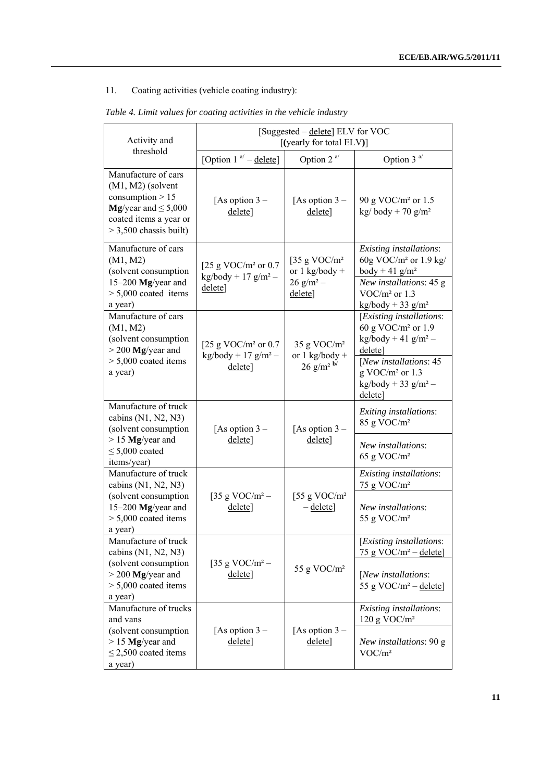# 11. Coating activities (vehicle coating industry):

| Activity and                                                                                                                                       |                                                                    | [Suggested – delete] ELV for VOC<br>[(yearly for total ELV)]   |                                                                                                       |  |
|----------------------------------------------------------------------------------------------------------------------------------------------------|--------------------------------------------------------------------|----------------------------------------------------------------|-------------------------------------------------------------------------------------------------------|--|
| threshold                                                                                                                                          | [Option 1 $a^{/}$ – delete]                                        | Option 2 $a$ <sup><math>\prime</math></sup>                    | Option $3a$                                                                                           |  |
| Manufacture of cars<br>$(M1, M2)$ (solvent<br>consumption $> 15$<br>Mg/year and $\leq 5,000$<br>coated items a year or<br>$>$ 3,500 chassis built) | [As option $3-$<br>delete]                                         | [As option $3-$<br>delete]                                     | 90 g VOC/m <sup>2</sup> or 1.5<br>kg/body + 70 g/m <sup>2</sup>                                       |  |
| Manufacture of cars<br>(M1, M2)<br>(solvent consumption<br>15-200 Mg/year and                                                                      | [25 g VOC/ $m2$ or 0.7<br>$kg/body + 17 g/m^2 -$                   | [35 g VOC/ $m2$<br>or $1$ kg/body +<br>$26$ g/m <sup>2</sup> – | Existing installations:<br>60g VOC/ $m2$ or 1.9 kg/<br>body + 41 $g/m^2$<br>New installations: 45 g   |  |
| $> 5,000$ coated items<br>a year)                                                                                                                  | delete]                                                            | delete]                                                        | $VOC/m2$ or 1.3<br>$\text{kg/body} + 33 \text{ g/m}^2$                                                |  |
| Manufacture of cars<br>(M1, M2)<br>(solvent consumption<br>$>$ 200 Mg/year and                                                                     | [25 g VOC/ $m2$ or 0.7<br>$\text{kg/body}$ + 17 g/m <sup>2</sup> – | 35 g VOC/ $m2$<br>or $1$ kg/body +                             | [Existing installations:<br>60 g VOC/ $m2$ or 1.9<br>$\text{kg/body} + 41 \text{ g/m}^2$ –<br>delete] |  |
| $> 5,000$ coated items<br>a year)                                                                                                                  | delete]                                                            | $26$ g/m <sup>2</sup> b/                                       | [New installations: 45<br>$g$ VOC/ $m2$ or 1.3<br>$\text{kg/body} + 33 \text{ g/m}^2$ –<br>delete]    |  |
| Manufacture of truck<br>cabins $(N1, N2, N3)$<br>(solvent consumption                                                                              | [As option $3-$                                                    | [As option $3-$                                                | Exiting installations:<br>85 g VOC/m <sup>2</sup>                                                     |  |
| $> 15$ Mg/year and<br>$\leq$ 5,000 coated<br>items/year)                                                                                           | delete]                                                            | delete]                                                        | New installations:<br>65 g VOC/ $m2$                                                                  |  |
| Manufacture of truck<br>cabins (N1, N2, N3)                                                                                                        |                                                                    |                                                                | Existing installations:<br>75 g VOC/m <sup>2</sup>                                                    |  |
| (solvent consumption<br>15-200 Mg/year and<br>$> 5,000$ coated items<br>a year)                                                                    | [35 g VOC/m <sup>2</sup> –<br>delete]                              | [55 g VOC/ $m2$<br>$-\text{delete}$                            | New installations:<br>55 g VOC/m <sup>2</sup>                                                         |  |
| Manufacture of truck<br>cabins $(N1, N2, N3)$                                                                                                      |                                                                    |                                                                | [Existing installations:<br>75 g VOC/ $m^2$ – delete]                                                 |  |
| (solvent consumption<br>$>$ 200 Mg/year and<br>$> 5,000$ coated items<br>a year)                                                                   | [35 g VOC/m <sup>2</sup> –<br>delete]                              | 55 g VOC/m <sup>2</sup>                                        | [New installations:<br>55 g VOC/ $m^2$ – delete]                                                      |  |
| Manufacture of trucks<br>and vans                                                                                                                  |                                                                    |                                                                | Existing installations:<br>$120$ g VOC/m <sup>2</sup>                                                 |  |
| (solvent consumption<br>$> 15$ Mg/year and<br>$\leq$ 2,500 coated items<br>a year)                                                                 | [As option $3-$<br>delete]                                         | [As option $3-$<br>delete]                                     | New installations: 90 g<br>VOC/m <sup>2</sup>                                                         |  |

# *Table 4. Limit values for coating activities in the vehicle industry*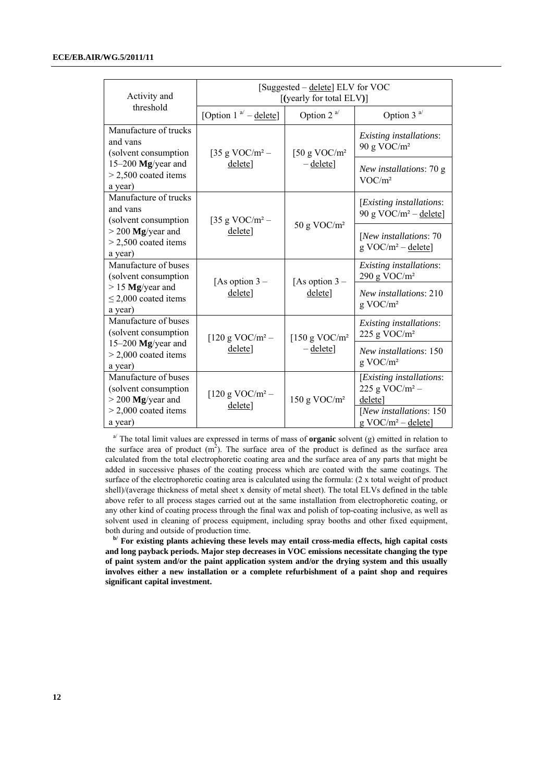| Activity and                                                                                  | [Suggested – delete] ELV for VOC<br>[(yearly for total ELV)] |                            |                                                                                                                                                                                                                                                                                                                                                                                                                                                                                       |  |
|-----------------------------------------------------------------------------------------------|--------------------------------------------------------------|----------------------------|---------------------------------------------------------------------------------------------------------------------------------------------------------------------------------------------------------------------------------------------------------------------------------------------------------------------------------------------------------------------------------------------------------------------------------------------------------------------------------------|--|
| threshold                                                                                     | [Option 1 $a^{1}$ – delete]                                  | Option $2^{a}$             | Option 3 <sup>a/</sup>                                                                                                                                                                                                                                                                                                                                                                                                                                                                |  |
| Manufacture of trucks<br>and vans<br>(solvent consumption                                     | [35 g VOC/m <sup>2</sup> –                                   | [50 g VOC/ $m2$            | Existing installations:<br>90 g VOC/ $m2$                                                                                                                                                                                                                                                                                                                                                                                                                                             |  |
| 15-200 Mg/year and<br>$>$ 2,500 coated items<br>a year)                                       | delete]                                                      | $-\text{delete}$           | New installations: 70 g<br>VOC/m <sup>2</sup><br>[Existing installations:<br>90 g VOC/ $m^2$ – delete]<br>[New installations: 70<br>$g \text{ VOC/m}^2$ – delete]<br>Existing installations:<br>290 g VOC/m <sup>2</sup><br>New installations: 210<br>$g$ VOC/ $m2$<br>Existing installations:<br>225 g VOC/ $m2$<br>New installations: 150<br>$g$ VOC/ $m2$<br>[Existing installations:<br>225 g VOC/ $m^2$ –<br>delete]<br>[New installations: 150<br>$g \text{ VOC/m}^2$ – delete] |  |
| Manufacture of trucks<br>and vans<br>(solvent consumption)                                    | [35 g VOC/m <sup>2</sup> –                                   |                            |                                                                                                                                                                                                                                                                                                                                                                                                                                                                                       |  |
| $>$ 200 Mg/year and<br>$>$ 2,500 coated items<br>a year)                                      | deletel                                                      | 50 g VOC/m <sup>2</sup>    |                                                                                                                                                                                                                                                                                                                                                                                                                                                                                       |  |
| Manufacture of buses<br>(solvent consumption                                                  | [As option $3-$                                              |                            |                                                                                                                                                                                                                                                                                                                                                                                                                                                                                       |  |
| $> 15$ Mg/year and<br>$\leq$ 2,000 coated items<br>a year)                                    | delete]                                                      | [As option $3-$<br>delete] |                                                                                                                                                                                                                                                                                                                                                                                                                                                                                       |  |
| Manufacture of buses<br>(solvent consumption                                                  | [ $120 g VOC/m^2$ –                                          | [150 g VOC/ $m2$           |                                                                                                                                                                                                                                                                                                                                                                                                                                                                                       |  |
| 15-200 Mg/year and<br>$>$ 2,000 coated items<br>a year)                                       | delete]                                                      | $-\text{delete}$           |                                                                                                                                                                                                                                                                                                                                                                                                                                                                                       |  |
| Manufacture of buses<br>(solvent consumption<br>$>$ 200 Mg/year and<br>$>$ 2,000 coated items | [120 g VOC/m <sup>2</sup> –<br>delete]                       | 150 g VOC/ $m2$            |                                                                                                                                                                                                                                                                                                                                                                                                                                                                                       |  |
| a year)                                                                                       |                                                              |                            |                                                                                                                                                                                                                                                                                                                                                                                                                                                                                       |  |

 $a^{i}$  The total limit values are expressed in terms of mass of **organic** solvent (g) emitted in relation to the surface area of product  $(m<sup>2</sup>)$ . The surface area of the product is defined as the surface area calculated from the total electrophoretic coating area and the surface area of any parts that might be added in successive phases of the coating process which are coated with the same coatings. The surface of the electrophoretic coating area is calculated using the formula: (2 x total weight of product shell)/(average thickness of metal sheet x density of metal sheet). The total ELVs defined in the table above refer to all process stages carried out at the same installation from electrophoretic coating, or any other kind of coating process through the final wax and polish of top-coating inclusive, as well as solvent used in cleaning of process equipment, including spray booths and other fixed equipment, both during and outside of production time.

**b/** For existing plants achieving these levels may entail cross-media effects, high capital costs **and long payback periods. Major step decreases in VOC emissions necessitate changing the type of paint system and/or the paint application system and/or the drying system and this usually involves either a new installation or a complete refurbishment of a paint shop and requires significant capital investment.**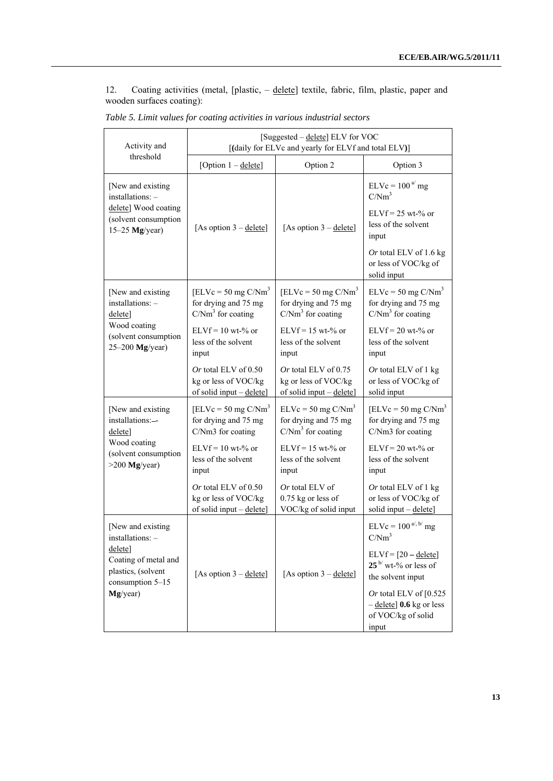12. Coating activities (metal, [plastic, – delete] textile, fabric, film, plastic, paper and wooden surfaces coating):

| Activity and                                                              |                                                                            | [Suggested - delete] ELV for VOC<br>[(daily for ELVc and yearly for ELVf and total ELV)] |                                                                                               |
|---------------------------------------------------------------------------|----------------------------------------------------------------------------|------------------------------------------------------------------------------------------|-----------------------------------------------------------------------------------------------|
| threshold                                                                 | [Option $1 -$ delete]                                                      | Option 2                                                                                 | Option 3                                                                                      |
| [New and existing]<br>installations: -                                    |                                                                            |                                                                                          | $ELVc = 100a$ mg<br>C/Nm <sup>3</sup>                                                         |
| delete] Wood coating<br>(solvent consumption<br>$15-25$ Mg/year)          | [As option $3 -$ delete]                                                   | [As option $3 -$ delete]                                                                 | $ELVf = 25$ wt-% or<br>less of the solvent<br>input                                           |
|                                                                           |                                                                            |                                                                                          | Or total ELV of 1.6 kg<br>or less of VOC/kg of<br>solid input                                 |
| [New and existing<br>$installations: -$<br>delete]                        | $[ELVc = 50 mg C/Nm3]$<br>for drying and 75 mg<br>$C/Nm3$ for coating      | $[ELVc = 50 mg C/Nm3]$<br>for drying and 75 mg<br>$C/Nm3$ for coating                    | $ELVc = 50$ mg $C/Nm3$<br>for drying and 75 mg<br>$C/Nm3$ for coating                         |
| Wood coating<br>(solvent consumption<br>$25-200$ Mg/year)                 | $ELVf = 10$ wt-% or<br>less of the solvent<br>input                        | $ELVf = 15$ wt-% or<br>less of the solvent<br>input                                      | $ELVf = 20$ wt-% or<br>less of the solvent<br>input                                           |
|                                                                           | Or total ELV of $0.50$<br>kg or less of VOC/kg<br>of solid input - delete] | Or total ELV of $0.75$<br>kg or less of VOC/kg<br>of solid input - delete]               | Or total ELV of 1 kg<br>or less of VOC/kg of<br>solid input                                   |
| [New and existing<br>installations:--<br>delete]                          | $[ELVc = 50 mg C/Nm3]$<br>for drying and 75 mg<br>C/Nm3 for coating        | $ELVc = 50$ mg $C/Nm3$<br>for drying and 75 mg<br>$C/Nm3$ for coating                    | $[ELVc = 50 mg C/Nm3]$<br>for drying and 75 mg<br>C/Nm3 for coating                           |
| Wood coating<br>(solvent consumption<br>$>200$ Mg/year)                   | $ELVf = 10$ wt-% or<br>less of the solvent<br>input                        | $ELVf = 15$ wt-% or<br>less of the solvent<br>input                                      | $ELVf = 20$ wt-% or<br>less of the solvent<br>input                                           |
|                                                                           | Or total ELV of $0.50$<br>kg or less of VOC/kg<br>of solid input - delete] | Or total ELV of<br>$0.75$ kg or less of<br>VOC/kg of solid input                         | Or total ELV of 1 kg<br>or less of VOC/kg of<br>solid input $-\text{delete}$                  |
| [New and existing]<br>installations: -                                    |                                                                            |                                                                                          | $ELVc = 100^{a', b'}$ mg<br>C/Nm <sup>3</sup>                                                 |
| delete]<br>Coating of metal and<br>plastics, (solvent<br>consumption 5-15 | [As option $3 -$ delete]                                                   | [As option $3 -$ delete]                                                                 | $ELVf = [20 - delete]$<br>$25^{\mathrm{b}}$ wt-% or less of<br>the solvent input              |
| Mg/year)                                                                  |                                                                            |                                                                                          | Or total ELV of $[0.525]$<br>$-\text{delete}$ ] 0.6 kg or less<br>of VOC/kg of solid<br>input |

*Table 5. Limit values for coating activities in various industrial sectors*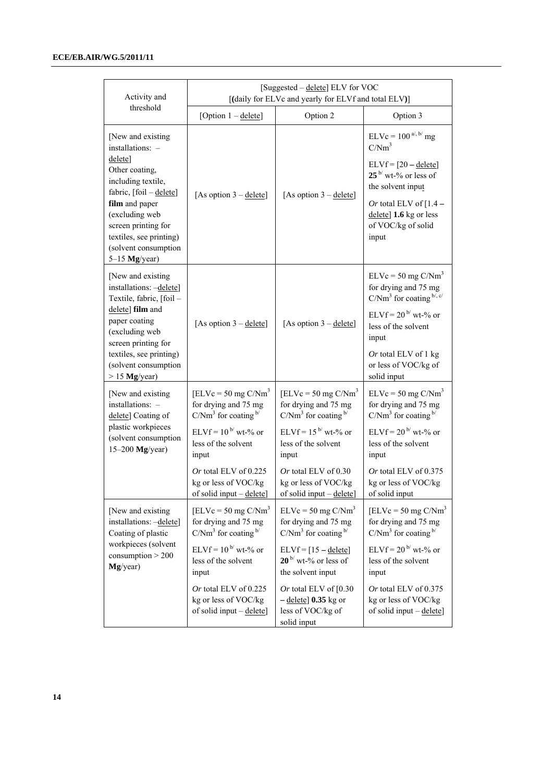| Activity and                                                                                                                                             |                                                                                  | [Suggested – delete] ELV for VOC<br>[(daily for ELVc and yearly for ELVf and total ELV)]    |                                                                                                        |
|----------------------------------------------------------------------------------------------------------------------------------------------------------|----------------------------------------------------------------------------------|---------------------------------------------------------------------------------------------|--------------------------------------------------------------------------------------------------------|
| threshold                                                                                                                                                | [Option $1 -$ delete]                                                            | Option 2                                                                                    | Option 3                                                                                               |
| [New and existing<br>installations: -<br>delete]<br>Other coating,<br>including textile,                                                                 |                                                                                  |                                                                                             | $ELVc = 100^{a', b'}$ mg<br>C/Nm <sup>3</sup><br>$ELVf = [20 - delete]$<br>$25b$ wt-% or less of       |
| fabric, [foil - delete]<br>film and paper<br>(excluding web<br>screen printing for<br>textiles, see printing)<br>(solvent consumption<br>$5-15$ Mg/year) | [As option $3 -$ delete]                                                         | [As option $3 -$ delete]                                                                    | the solvent input<br>Or total ELV of $[1.4 -$<br>delete] 1.6 kg or less<br>of VOC/kg of solid<br>input |
| [New and existing]<br>installations: -delete]<br>Textile, fabric, [foil -<br>delete] film and                                                            |                                                                                  |                                                                                             | $ELVc = 50$ mg $C/Nm3$<br>for drying and 75 mg<br>$C/Nm3$ for coating $bi$ , $cj$                      |
| paper coating<br>(excluding web<br>screen printing for                                                                                                   | [As option $3 -$ delete]                                                         | [As option $3 -$ delete]                                                                    | ELVf = $20^{b/}$ wt-% or<br>less of the solvent<br>input                                               |
| textiles, see printing)<br>(solvent consumption<br>$> 15$ Mg/year)                                                                                       |                                                                                  |                                                                                             | Or total ELV of 1 kg<br>or less of VOC/kg of<br>solid input                                            |
| [New and existing]<br>installations: -<br>delete] Coating of                                                                                             | $[ELVc = 50 mg C/Nm3]$<br>for drying and 75 mg<br>$C/Nm3$ for coating $b/$       | $[ELVc = 50 mg C/Nm3]$<br>for drying and 75 mg<br>$C/Nm3$ for coating $b/$                  | $ELVc = 50$ mg $C/Nm3$<br>for drying and 75 mg<br>$C/Nm3$ for coating $b/$                             |
| plastic workpieces<br>(solvent consumption<br>$15-200$ Mg/year)                                                                                          | ELVf = $10^{b}$ wt-% or<br>less of the solvent<br>input                          | ELVf = $15^{b}$ wt-% or<br>less of the solvent<br>input                                     | ELVf = $20^{b}$ wt-% or<br>less of the solvent<br>input                                                |
|                                                                                                                                                          | Or total ELV of $0.225$<br>kg or less of VOC/kg<br>of solid input – delete       | Or total ELV of $0.30$<br>kg or less of VOC/kg<br>of solid input – delete                   | Or total ELV of $0.375$<br>kg or less of VOC/kg<br>of solid input                                      |
| [New and existing<br>installations: -delete]<br>Coating of plastic                                                                                       | $[ELVc = 50 mg C/Nm3]$<br>for drying and 75 mg<br>$C/Nm3$ for coating $b/$       | $ELVc = 50$ mg $C/Nm3$<br>for drying and 75 mg<br>$C/Nm3$ for coating $b/$                  | $[ELVc = 50 mg C/Nm3]$<br>for drying and 75 mg<br>$C/Nm3$ for coating $b/$                             |
| workpieces (solvent<br>consumption > 200<br>Mg/year)                                                                                                     | ELVf = $10^{b/}$ wt-% or<br>less of the solvent<br>input                         | $ELVf = [15 - delete]$<br>$20^{\frac{b}{}}$ wt-% or less of<br>the solvent input            | ELVf = $20^{b/}$ wt-% or<br>less of the solvent<br>input                                               |
|                                                                                                                                                          | Or total ELV of 0.225<br>kg or less of VOC/kg<br>of solid input $-\text{delete}$ | Or total ELV of $[0.30]$<br>$-\text{delete}$ 0.35 kg or<br>less of VOC/kg of<br>solid input | Or total ELV of $0.375$<br>kg or less of VOC/kg<br>of solid input - delete]                            |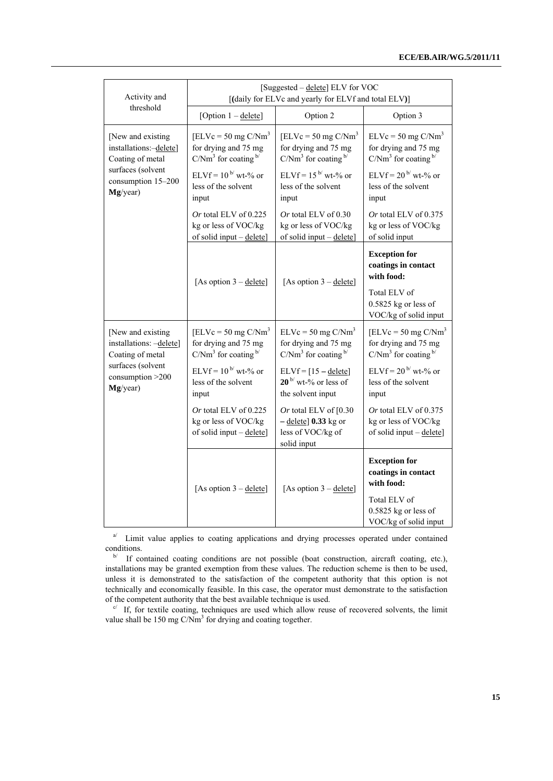| Activity and                                                                                                          |                                                                            | [Suggested - delete] ELV for VOC<br>[(daily for ELVc and yearly for ELVf and total ELV)]    |                                                                            |
|-----------------------------------------------------------------------------------------------------------------------|----------------------------------------------------------------------------|---------------------------------------------------------------------------------------------|----------------------------------------------------------------------------|
| threshold                                                                                                             | [Option $1 -$ delete]                                                      | Option 2                                                                                    | Option 3                                                                   |
| [New and existing<br>installations:-delete]<br>Coating of metal                                                       | $[ELVc = 50 mg C/Nm3]$<br>for drying and 75 mg<br>$C/Nm3$ for coating $b/$ | $[ELVc = 50 mg C/Nm3]$<br>for drying and 75 mg<br>$C/Nm3$ for coating $b/$                  | $ELVc = 50$ mg $C/Nm3$<br>for drying and 75 mg<br>$C/Nm3$ for coating $b/$ |
| surfaces (solvent<br>consumption 15-200<br>Mg/year)                                                                   | $ELVf = 10^{b}$ wt-% or<br>less of the solvent<br>input                    | ELVf = $15^{b}$ wt-% or<br>less of the solvent<br>input                                     | ELVf = $20^{b}$ wt-% or<br>less of the solvent<br>input                    |
|                                                                                                                       | Or total ELV of 0.225<br>kg or less of VOC/kg<br>of solid input - delete]  | Or total ELV of 0.30<br>kg or less of VOC/kg<br>of solid input - delete]                    | Or total ELV of 0.375<br>kg or less of VOC/kg<br>of solid input            |
|                                                                                                                       | [As option $3 -$ delete]                                                   | [As option $3 -$ delete]                                                                    | <b>Exception for</b><br>coatings in contact<br>with food:                  |
|                                                                                                                       |                                                                            |                                                                                             | Total ELV of<br>$0.5825$ kg or less of<br>VOC/kg of solid input            |
| [New and existing<br>installations: -delete]<br>Coating of metal<br>surfaces (solvent<br>consumption >200<br>Mg/year) | $[ELVc = 50 mg C/Nm3]$<br>for drying and 75 mg<br>$C/Nm3$ for coating $b/$ | $ELVc = 50$ mg $C/Nm3$<br>for drying and 75 mg<br>$C/Nm3$ for coating $b/$                  | $[ELVc = 50 mg C/Nm3]$<br>for drying and 75 mg<br>$C/Nm3$ for coating $b/$ |
|                                                                                                                       | $ELVf = 10^{b}$ wt-% or<br>less of the solvent<br>input                    | $ELVf = [15 - delete]$<br>$20^{\frac{b}{}}$ wt-% or less of<br>the solvent input            | $ELVf = 20^{b'} wt-$ % or<br>less of the solvent<br>input                  |
|                                                                                                                       | Or total ELV of 0.225<br>kg or less of VOC/kg<br>of solid input - delete]  | Or total ELV of $[0.30]$<br>$-\text{delete}$ 0.33 kg or<br>less of VOC/kg of<br>solid input | Or total ELV of 0.375<br>kg or less of VOC/kg<br>of solid input - delete]  |
|                                                                                                                       | [As option $3 -$ delete]                                                   | [As option $3 -$ delete]                                                                    | <b>Exception for</b><br>coatings in contact<br>with food:                  |
|                                                                                                                       |                                                                            |                                                                                             | Total ELV of<br>$0.5825$ kg or less of<br>VOC/kg of solid input            |

<sup>a/</sup> Limit value applies to coating applications and drying processes operated under contained conditions.<br><sup>b/</sup> If contained coating conditions are not possible (boat construction, aircraft coating, etc.),

installations may be granted exemption from these values. The reduction scheme is then to be used, unless it is demonstrated to the satisfaction of the competent authority that this option is not technically and economically feasible. In this case, the operator must demonstrate to the satisfaction of the competent authority that the best available technique is used.  $\frac{c}{f}$  If, for textile coating, techniques are used which allow reuse of recovered solvents, the limit

value shall be 150 mg  $C/Nm<sup>3</sup>$  for drying and coating together.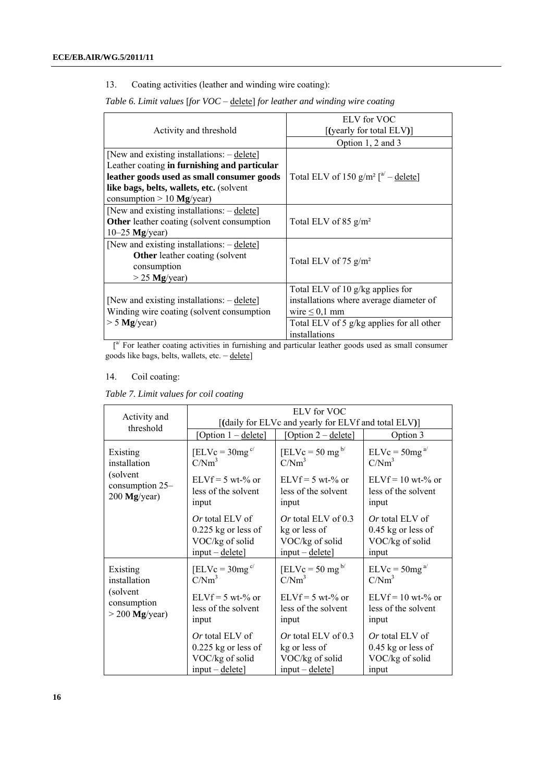13. Coating activities (leather and winding wire coating):

*Table 6. Limit values* [*for VOC* – delete] *for leather and winding wire coating* 

|                                                     | ELV for VOC                                        |  |  |
|-----------------------------------------------------|----------------------------------------------------|--|--|
| Activity and threshold                              | $[$ (yearly for total ELV) $]$                     |  |  |
|                                                     | Option 1, 2 and 3                                  |  |  |
| [New and existing installations: $-\text{delete}$ ] |                                                    |  |  |
| Leather coating in furnishing and particular        |                                                    |  |  |
| leather goods used as small consumer goods          | Total ELV of 150 $g/m^2$ $\binom{a'}{ }$ - delete] |  |  |
| like bags, belts, wallets, etc. (solvent            |                                                    |  |  |
| consumption $> 10$ Mg/year)                         |                                                    |  |  |
| [New and existing installations: – delete]          |                                                    |  |  |
| <b>Other</b> leather coating (solvent consumption   | Total ELV of 85 $g/m^2$                            |  |  |
| $10-25$ Mg/year)                                    |                                                    |  |  |
| [New and existing installations: $-\text{delete}$ ] |                                                    |  |  |
| <b>Other</b> leather coating (solvent               |                                                    |  |  |
| consumption                                         | Total ELV of 75 $g/m^2$                            |  |  |
| $>$ 25 Mg/year)                                     |                                                    |  |  |
|                                                     | Total ELV of 10 g/kg applies for                   |  |  |
| [New and existing installations: $-\text{delete}$ ] | installations where average diameter of            |  |  |
| Winding wire coating (solvent consumption           | wire $\leq 0,1$ mm                                 |  |  |
| $> 5$ Mg/year)                                      | Total ELV of 5 $g/kg$ applies for all other        |  |  |
|                                                     | installations                                      |  |  |

 $\int_a^{a'}$  For leather coating activities in furnishing and particular leather goods used as small consumer goods like bags, belts, wallets, etc. - delete]

#### 14. Coil coating:

*Table 7. Limit values for coil coating* 

| Activity and     | ELV for VOC<br>[(daily for ELVc and yearly for ELVf and total ELV)]                                                                                                         |                       |                                                                            |  |  |
|------------------|-----------------------------------------------------------------------------------------------------------------------------------------------------------------------------|-----------------------|----------------------------------------------------------------------------|--|--|
| threshold        | [Option 1 – delete]                                                                                                                                                         | [Option 2 – delete]   | Option 3                                                                   |  |  |
| Existing         | $[ELVc = 30mg^{c'}]$                                                                                                                                                        | $[ELVc = 50 mg^{b}$   | $ELVc = 50mg^{a/2}$                                                        |  |  |
| installation     | $C/Nm^3$                                                                                                                                                                    | C/Nm <sup>3</sup>     | C/Nm <sup>3</sup>                                                          |  |  |
| (solvent         | $ELVf = 5 wt-% or$                                                                                                                                                          | $ELVf = 5 wt-% or$    | $ELVf = 10$ wt-% or                                                        |  |  |
| consumption 25–  | less of the solvent                                                                                                                                                         | less of the solvent   | less of the solvent                                                        |  |  |
| $200$ Mg/year)   | input                                                                                                                                                                       | input                 | input                                                                      |  |  |
|                  | <i>Or</i> total ELV of<br>Or total ELV of $0.3$<br>$0.225$ kg or less of<br>kg or less of<br>VOC/kg of solid<br>VOC/kg of solid<br>$input - delete$ ]<br>$input - delete$ ] |                       | <i>Or</i> total ELV of<br>$0.45$ kg or less of<br>VOC/kg of solid<br>input |  |  |
| Existing         | $[ELVc = 30mg^{c'}]$                                                                                                                                                        | $[ELVc = 50 mgb$      | $ELVc = 50mga/$                                                            |  |  |
| installation     | C/Nm <sup>3</sup>                                                                                                                                                           | C/Nm <sup>3</sup>     | C/Nm <sup>3</sup>                                                          |  |  |
| (solvent         | $ELVf = 5 wt-% or$                                                                                                                                                          | $ELVf = 5 wt-% or$    | $ELVf = 10$ wt-% or                                                        |  |  |
| consumption      | less of the solvent                                                                                                                                                         | less of the solvent   | less of the solvent                                                        |  |  |
| $>$ 200 Mg/year) | input                                                                                                                                                                       | input                 | input                                                                      |  |  |
|                  | $Or$ total ELV of                                                                                                                                                           | Or total ELV of $0.3$ | $Or$ total ELV of                                                          |  |  |
|                  | $0.225$ kg or less of                                                                                                                                                       | kg or less of         | $0.45$ kg or less of                                                       |  |  |
|                  | VOC/kg of solid                                                                                                                                                             | VOC/kg of solid       | VOC/kg of solid                                                            |  |  |
|                  | $input - delete$                                                                                                                                                            | $input - delete$ ]    | input                                                                      |  |  |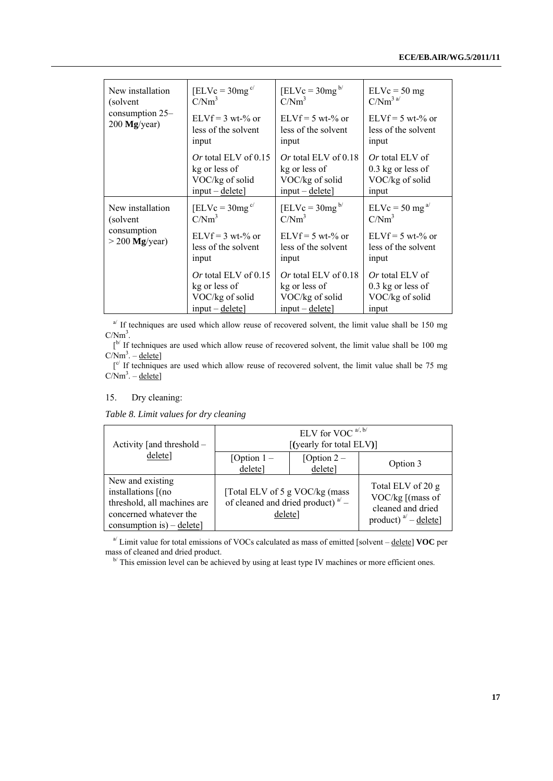| New installation<br>(solvent)<br>consumption 25–<br>$200$ Mg/year) | $[ELVc = 30mg^{c/2}]$<br>C/Nm <sup>3</sup>                                     | $[ELVc = 30mg^{b}$<br>C/Nm <sup>3</sup>                                          | $ELVc = 50 mg$<br>$C/Nm^{3a/}$                                            |
|--------------------------------------------------------------------|--------------------------------------------------------------------------------|----------------------------------------------------------------------------------|---------------------------------------------------------------------------|
|                                                                    | $ELVf = 3 wt-% or$<br>less of the solvent<br>input                             | $ELVf = 5 wt-% or$<br>less of the solvent<br>input                               | $ELVf = 5 wt-% or$<br>less of the solvent<br>input                        |
|                                                                    | Or total ELV of $0.15$<br>kg or less of<br>VOC/kg of solid<br>$input - delete$ | Or total ELV of $0.18$<br>kg or less of<br>VOC/kg of solid<br>$input - delete$   | <i>Or</i> total ELV of<br>$0.3$ kg or less of<br>VOC/kg of solid<br>input |
| New installation<br>(solvent)<br>consumption<br>$>$ 200 Mg/year)   | $[ELVc = 30mgc/]$<br>$C/Nm^3$                                                  | $[ELVc = 30mg^{b}$<br>C/Nm <sup>3</sup>                                          | $ELVc = 50$ mg <sup>a/</sup><br>C/Nm <sup>3</sup>                         |
|                                                                    | $ELVf = 3 wt-% or$<br>less of the solvent<br>input                             | $ELVf = 5 wt-% or$<br>less of the solvent<br>input                               | $ELVf = 5 wt-% or$<br>less of the solvent<br>input                        |
|                                                                    | Or total ELV of $0.15$<br>kg or less of<br>VOC/kg of solid<br>$input - delete$ | Or total ELV of $0.18$<br>kg or less of<br>VOC/kg of solid<br>$input - delete$ ] | <i>Or</i> total ELV of<br>$0.3$ kg or less of<br>VOC/kg of solid<br>input |

 $a<sup>l</sup>$  If techniques are used which allow reuse of recovered solvent, the limit value shall be 150 mg  $C/Nm^3$ .

 $\int_{0}^{b}$  If techniques are used which allow reuse of recovered solvent, the limit value shall be 100 mg  $C/Nm^3 -$  delete]

 $\int_{0}^{\infty}$  If techniques are used which allow reuse of recovered solvent, the limit value shall be 75 mg  $C/Nm^3 -$  delete]

#### 15. Dry cleaning:

*Table 8. Limit values for dry cleaning* 

| Activity [and threshold –                                                                                                           | ELV for VOC $a^{j}$ , $b^{j}$<br>[(yearly for total ELV)]                            |                         |                                                                                          |  |
|-------------------------------------------------------------------------------------------------------------------------------------|--------------------------------------------------------------------------------------|-------------------------|------------------------------------------------------------------------------------------|--|
| delete]                                                                                                                             | [Option $1 -$<br>delete]                                                             | [Option $2-$<br>delete] | Option 3                                                                                 |  |
| New and existing<br>installations [(no<br>threshold, all machines are<br>concerned whatever the<br>consumption is) $-\text{delete}$ | [Total ELV of 5 g VOC/kg (mass<br>of cleaned and dried product) $a^{i}$ –<br>delete] |                         | Total ELV of 20 g<br>VOC/kg [(mass of<br>cleaned and dried<br>product) $a^{j}$ – delete] |  |

<sup>a</sup>/Limit value for total emissions of VOCs calculated as mass of emitted [solvent – delete] **VOC** per mass of cleaned and dried product.<br> $\frac{b}{c}$  This emission level can be achieved by using at least type IV machines or more efficient ones.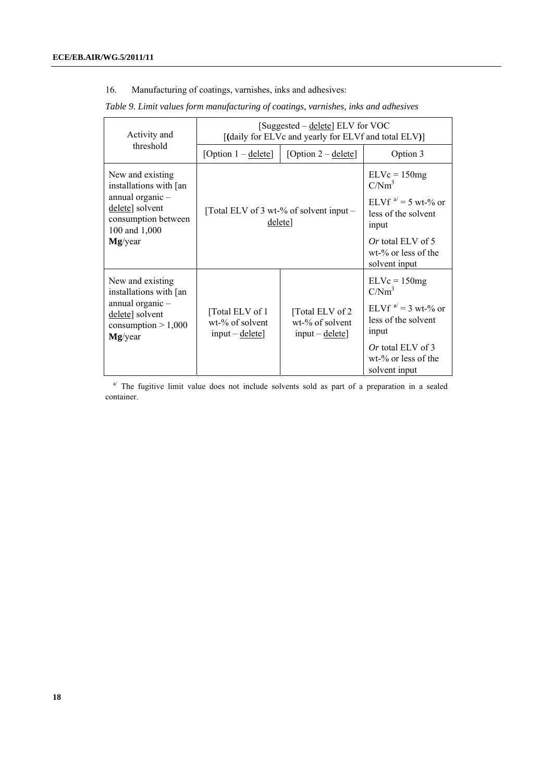16. Manufacturing of coatings, varnishes, inks and adhesives:

|  | Table 9. Limit values form manufacturing of coatings, varnishes, inks and adhesives |  |  |  |
|--|-------------------------------------------------------------------------------------|--|--|--|
|  |                                                                                     |  |  |  |

| Activity and                                                                                                                           | [Suggested – delete] ELV for VOC<br>[(daily for ELVc and yearly for ELVf and total ELV)] |                                                         |                                                                                                                                                              |  |
|----------------------------------------------------------------------------------------------------------------------------------------|------------------------------------------------------------------------------------------|---------------------------------------------------------|--------------------------------------------------------------------------------------------------------------------------------------------------------------|--|
| threshold                                                                                                                              | [Option $1 -$ delete]                                                                    | [Option $2 -$ delete]                                   | Option 3                                                                                                                                                     |  |
| New and existing<br>installations with [an<br>annual organic-<br>delete] solvent<br>consumption between<br>100 and 1,000<br>$Mg$ /year |                                                                                          | [Total ELV of 3 wt-% of solvent input $-$<br>delete]    |                                                                                                                                                              |  |
| New and existing<br>installations with [an<br>annual organic -<br>delete] solvent<br>consumption $> 1,000$<br>$Mg$ /year               | [Total ELV of 1]<br>wt-% of solvent<br>$input - delete$                                  | [Total ELV of 2]<br>wt-% of solvent<br>$input - delete$ | $ELVc = 150mg$<br>C/Nm <sup>3</sup><br>ELVf $a' = 3$ wt-% or<br>less of the solvent<br>input<br>Or total ELV of 3<br>$wt-$ % or less of the<br>solvent input |  |

 $a^{j}$  The fugitive limit value does not include solvents sold as part of a preparation in a sealed container.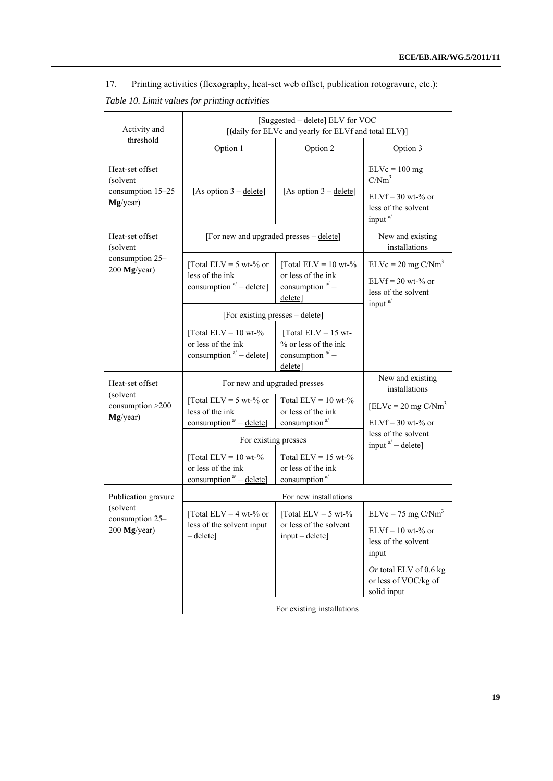17. Printing activities (flexography, heat-set web offset, publication rotogravure, etc.):

| Activity and                                                 |                                                                                     | [Suggested - delete] ELV for VOC<br>[(daily for ELVc and yearly for ELVf and total ELV)] |                                                                                                           |  |
|--------------------------------------------------------------|-------------------------------------------------------------------------------------|------------------------------------------------------------------------------------------|-----------------------------------------------------------------------------------------------------------|--|
| threshold                                                    | Option 1                                                                            | Option 2                                                                                 | Option 3                                                                                                  |  |
| Heat-set offset<br>(solvent<br>consumption 15-25<br>Mg/year) | [As option $3 -$ delete]                                                            | [As option $3 -$ delete]                                                                 | $ELVc = 100 mg$<br>C/Nm <sup>3</sup><br>$ELVf = 30$ wt-% or<br>less of the solvent<br>input <sup>a/</sup> |  |
| Heat-set offset<br>(solvent                                  | [For new and upgraded presses - delete]                                             |                                                                                          | New and existing<br>installations                                                                         |  |
| consumption 25-<br>200 Mg/year)                              | [Total ELV = 5 wt-% or<br>less of the ink<br>consumption $a^{i}$ – delete]          | [Total ELV = $10$ wt-%<br>or less of the ink<br>consumption $a'$ –<br>delete]            | $ELVc = 20$ mg $C/Nm3$<br>$ELVf = 30$ wt-% or<br>less of the solvent<br>input <sup>a/</sup>               |  |
|                                                              | [For existing presses – delete]                                                     |                                                                                          |                                                                                                           |  |
|                                                              | [Total ELV = $10$ wt-%<br>or less of the ink<br>consumption $a^{\prime}$ – delete]  | [Total ELV = 15 wt-<br>% or less of the ink<br>consumption $a^{1}$ –<br>delete]          |                                                                                                           |  |
| Heat-set offset                                              | For new and upgraded presses                                                        | New and existing<br>installations                                                        |                                                                                                           |  |
| (solvent<br>consumption >200<br>Mg/year)                     | [Total ELV = 5 wt-% or<br>less of the ink<br>consumption <sup>a'</sup> – delete]    | Total $ELV = 10$ wt-%<br>or less of the ink<br>consumption <sup>a/</sup>                 | $[ELVc = 20 mg C/Nm3]$<br>$ELVf = 30$ wt-% or                                                             |  |
|                                                              | For existing presses                                                                | less of the solvent<br>input $a^{i}$ – delete]                                           |                                                                                                           |  |
|                                                              | [Total ELV = $10$ wt-%<br>or less of the ink<br>consumption <sup>a'</sup> – delete] | Total $ELV = 15$ wt-%<br>or less of the ink<br>consumption <sup>a/</sup>                 |                                                                                                           |  |
| Publication gravure                                          |                                                                                     | For new installations                                                                    |                                                                                                           |  |
| (solvent<br>consumption 25-<br>200 Mg/year)                  | [Total ELV = 4 wt-% or<br>less of the solvent input<br>$-\text{delete}$             | [Total ELV = $5$ wt- $\%$<br>or less of the solvent<br>$input - delete$                  | $ELVc = 75$ mg $C/Nm3$<br>$ELVf = 10$ wt-% or<br>less of the solvent<br>input                             |  |
|                                                              |                                                                                     |                                                                                          | Or total ELV of 0.6 kg<br>or less of VOC/kg of<br>solid input                                             |  |
|                                                              | For existing installations                                                          |                                                                                          |                                                                                                           |  |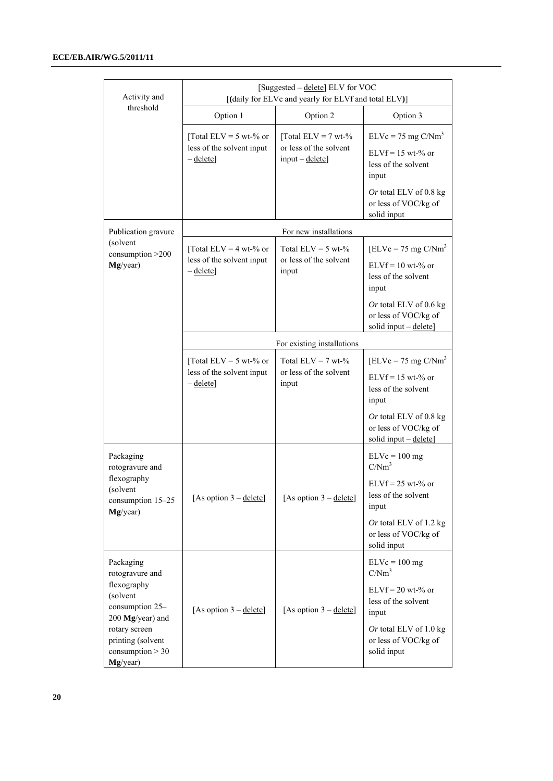| Activity and                                                       | [Suggested – delete] ELV for VOC<br>[(daily for ELVc and yearly for ELVf and total ELV)] |                                                                           |                                                                                |  |  |
|--------------------------------------------------------------------|------------------------------------------------------------------------------------------|---------------------------------------------------------------------------|--------------------------------------------------------------------------------|--|--|
| threshold                                                          | Option 1                                                                                 | Option 2                                                                  | Option 3                                                                       |  |  |
|                                                                    | [Total ELV = 5 wt-% or<br>less of the solvent input<br>$-\text{delete}$                  | [Total ELV = $7$ wt- $\%$<br>or less of the solvent<br>$input - delete$ ] | $ELVc = 75$ mg $C/Nm3$<br>$ELVf = 15$ wt-% or<br>less of the solvent<br>input  |  |  |
|                                                                    |                                                                                          |                                                                           | Or total ELV of $0.8$ kg<br>or less of VOC/kg of<br>solid input                |  |  |
| Publication gravure                                                |                                                                                          | For new installations                                                     |                                                                                |  |  |
| (solvent<br>consumption >200<br>Mg/year)                           | [Total ELV = 4 wt-% or<br>less of the solvent input                                      | Total $ELV = 5$ wt-%<br>or less of the solvent                            | $[ELVc = 75 mg C/Nm3]$<br>$ELVf = 10$ wt-% or                                  |  |  |
|                                                                    | $-\text{delete}$                                                                         | input                                                                     | less of the solvent<br>input                                                   |  |  |
|                                                                    |                                                                                          |                                                                           | Or total ELV of $0.6$ kg<br>or less of VOC/kg of<br>solid input - delete]      |  |  |
|                                                                    | For existing installations                                                               |                                                                           |                                                                                |  |  |
|                                                                    | [Total ELV = 5 wt-% or<br>less of the solvent input<br>$-\underline{\text{delete}}$      | Total $ELV = 7$ wt-%<br>or less of the solvent<br>input                   | $[ELVc = 75 mg C/Nm3]$                                                         |  |  |
|                                                                    |                                                                                          |                                                                           | $ELVf = 15$ wt-% or<br>less of the solvent<br>input                            |  |  |
|                                                                    |                                                                                          |                                                                           | Or total ELV of 0.8 kg<br>or less of VOC/kg of<br>solid input $-\text{delete}$ |  |  |
| Packaging<br>rotogravure and                                       |                                                                                          |                                                                           | $ELVc = 100 mg$<br>C/Nm <sup>3</sup>                                           |  |  |
| flexography<br>(solvent)<br>consumption 15-25<br>Mg/year)          | [As option $3 -$ delete]                                                                 | [As option $3 -$ delete]                                                  | $ELVf = 25$ wt-% or<br>less of the solvent<br>input                            |  |  |
|                                                                    |                                                                                          |                                                                           | Or total ELV of 1.2 kg<br>or less of VOC/kg of<br>solid input                  |  |  |
| Packaging<br>rotogravure and                                       |                                                                                          |                                                                           | $ELVc = 100 mg$<br>C/Nm <sup>3</sup>                                           |  |  |
| flexography<br>(solvent<br>consumption 25-<br>200 Mg/year) and     | [As option $3 -$ delete]                                                                 | [As option $3 -$ delete]                                                  | $ELVf = 20$ wt-% or<br>less of the solvent<br>input                            |  |  |
| rotary screen<br>printing (solvent<br>consumption > 30<br>Mg/year) |                                                                                          |                                                                           | Or total ELV of 1.0 kg<br>or less of VOC/kg of<br>solid input                  |  |  |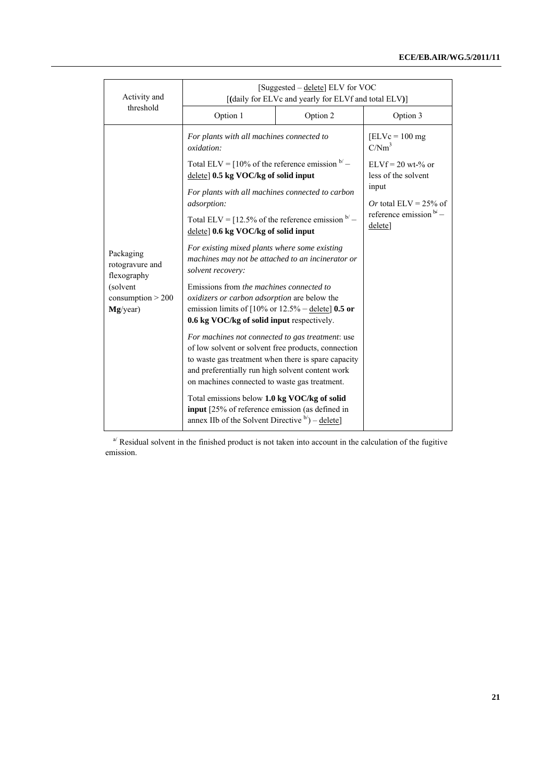| Activity and                                                                             | [Suggested – delete] ELV for VOC<br>[(daily for ELVc and yearly for ELVf and total ELV)]                                                                                                                                                                            |                                       |                                            |  |
|------------------------------------------------------------------------------------------|---------------------------------------------------------------------------------------------------------------------------------------------------------------------------------------------------------------------------------------------------------------------|---------------------------------------|--------------------------------------------|--|
| threshold                                                                                | Option 1                                                                                                                                                                                                                                                            | Option 2                              | Option 3                                   |  |
|                                                                                          | For plants with all machines connected to<br>oxidation:                                                                                                                                                                                                             |                                       | $[ELVc = 100 mg]$<br>C/Nm <sup>3</sup>     |  |
|                                                                                          | Total ELV = $10\%$ of the reference emission $b'$ –<br>delete] 0.5 kg VOC/kg of solid input                                                                                                                                                                         |                                       | $ELVf = 20$ wt-% or<br>less of the solvent |  |
|                                                                                          | For plants with all machines connected to carbon<br>adsorption:                                                                                                                                                                                                     |                                       | input<br>Or total ELV = $25\%$ of          |  |
| Packaging<br>rotogravure and<br>flexography<br>(solvent<br>consumption > 200<br>Mg/year) | Total ELV = $[12.5\%$ of the reference emission $b'$ –<br>delete] 0.6 kg VOC/kg of solid input                                                                                                                                                                      | reference emission $b^2$ –<br>delete] |                                            |  |
|                                                                                          | For existing mixed plants where some existing<br>machines may not be attached to an incinerator or<br>solvent recovery:                                                                                                                                             |                                       |                                            |  |
|                                                                                          | Emissions from the machines connected to<br>oxidizers or carbon adsorption are below the<br>emission limits of $[10\% \text{ or } 12.5\% - \text{delete}]$ 0.5 or<br>0.6 kg VOC/kg of solid input respectively.                                                     |                                       |                                            |  |
|                                                                                          | For machines not connected to gas treatment: use<br>of low solvent or solvent free products, connection<br>to waste gas treatment when there is spare capacity<br>and preferentially run high solvent content work<br>on machines connected to waste gas treatment. |                                       |                                            |  |
|                                                                                          | Total emissions below 1.0 kg VOC/kg of solid<br>input [25% of reference emission (as defined in<br>annex IIb of the Solvent Directive $b$ <sup><math>\prime</math></sup> ) – delete]                                                                                |                                       |                                            |  |

 $a^{1/2}$  Residual solvent in the finished product is not taken into account in the calculation of the fugitive emission.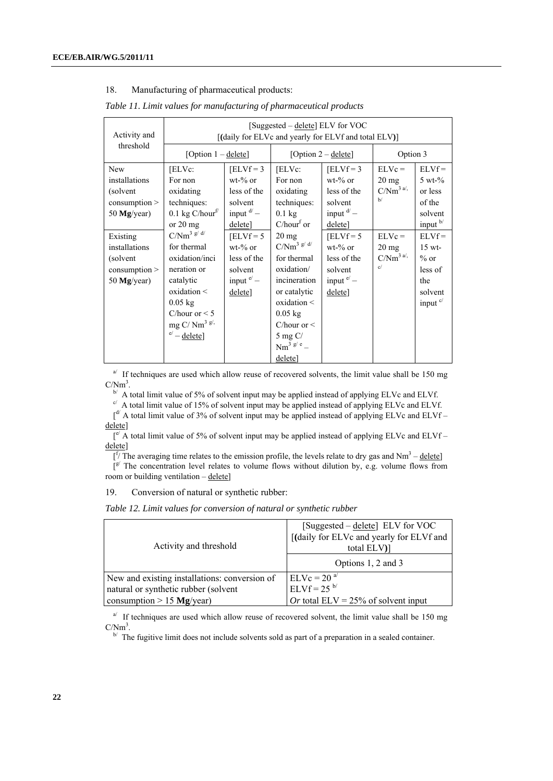#### 18. Manufacturing of pharmaceutical products:

| Activity and                                                           | [Suggested – delete] ELV for VOC<br>[(daily for ELVc and yearly for ELVf and total ELV)]                                                                               |                                                                                         |                                                                                                                                                                                              |                                                                                   |                                                    |                                                                                       |  |
|------------------------------------------------------------------------|------------------------------------------------------------------------------------------------------------------------------------------------------------------------|-----------------------------------------------------------------------------------------|----------------------------------------------------------------------------------------------------------------------------------------------------------------------------------------------|-----------------------------------------------------------------------------------|----------------------------------------------------|---------------------------------------------------------------------------------------|--|
| threshold                                                              | [Option $1 -$ delete]                                                                                                                                                  |                                                                                         |                                                                                                                                                                                              | [Option $2 -$ delete]                                                             |                                                    | Option 3                                                                              |  |
| <b>New</b><br>installations<br>(solvent)<br>consumption<br>50 Mg/year) | [ELVc:<br>For non<br>oxidating<br>techniques:<br>0.1 kg $C/hour^f$<br>or $20 \text{ mg}$                                                                               | $[ELVf = 3]$<br>$wt-%$ or<br>less of the<br>solvent<br>input $\frac{d}{ }$ –<br>deletel | [ELVc:<br>For non<br>oxidating<br>techniques:<br>$0.1$ kg<br>$C/hourf$ or                                                                                                                    | $[ELVf = 3]$<br>$wt-%$ or<br>less of the<br>solvent<br>input $d'$ –<br>delete]    | $ELVc =$<br>$20 \text{ mg}$<br>$C/Nm^{3a/2}$<br>h/ | $ELVf =$<br>$5 \text{ wt-} \%$<br>or less<br>of the<br>solvent<br>input $\frac{b}{ }$ |  |
| Existing<br>installations<br>(solvent)<br>consumption<br>50 $Mg/year)$ | $C/Nm^3 g/d$<br>for thermal<br>oxidation/inci<br>neration or<br>catalytic<br>oxidation <<br>$0.05$ kg<br>C/hour or $< 5$<br>mg C/Nm <sup>3 g/,</sup><br>$e'$ – delete] | $[ELVf = 5]$<br>$wt-%$ or<br>less of the<br>solvent<br>input $e'$ –<br>deletel          | $20 \text{ mg}$<br>$C/Nm^3 g/d$<br>for thermal<br>oxidation/<br>incineration<br>or catalytic<br>oxidation <<br>$0.05$ kg<br>C/hour or $\leq$<br>$5 \text{ mg C}$<br>$Nm^{3g/e}$ –<br>delete] | $[ELVf = 5]$<br>$wt-%$ or<br>less of the<br>solvent<br>input $e^{i}$ –<br>deletel | $ELVc =$<br>$20 \text{ mg}$<br>$C/Nm^{3a/2}$<br>c/ | $ELVf =$<br>$15$ wt-<br>$%$ or<br>less of<br>the<br>solvent<br>input $c$              |  |

*Table 11. Limit values for manufacturing of pharmaceutical products*

 $a^{j}$  If techniques are used which allow reuse of recovered solvents, the limit value shall be 150 mg  $\text{C/Nm}^3$ .<br><sup>b/</sup> A total limit value of 5% of solvent input may be applied instead of applying ELVc and ELVf.

A total limit value of 15% of solvent input may be upplied instead of applying  $\frac{1}{2}$ . c/  $\frac{1}{2}$  and ELVf.  $\int_0^d A$  total limit value of 3% of solvent input may be applied instead of applying ELVc and ELVf – delete]

 $\int e^{t}$  A total limit value of 5% of solvent input may be applied instead of applying ELVc and ELVf – delete]

 $\int$  [f/ The averaging time relates to the emission profile, the levels relate to dry gas and Nm<sup>3</sup> – delete]

 $\int_{0}^{\epsilon}$  The concentration level relates to volume flows without dilution by, e.g. volume flows from room or building ventilation – delete]

19. Conversion of natural or synthetic rubber:

*Table 12. Limit values for conversion of natural or synthetic rubber*

| Activity and threshold                        | [Suggested $-\text{delete}$ ] ELV for VOC<br>[(daily for ELVc and yearly for ELVf and<br>total ELV)] |  |  |
|-----------------------------------------------|------------------------------------------------------------------------------------------------------|--|--|
|                                               | Options 1, 2 and 3                                                                                   |  |  |
| New and existing installations: conversion of | $ELVc = 20a$                                                                                         |  |  |
| natural or synthetic rubber (solvent          | $ELVf = 25^{b/2}$                                                                                    |  |  |
| consumption $> 15$ Mg/year)                   | Or total ELV = $25\%$ of solvent input                                                               |  |  |

 $a^{j}$  If techniques are used which allow reuse of recovered solvent, the limit value shall be 150 mg  $C/Nm<sup>3</sup>$ .

 $b'$  The fugitive limit does not include solvents sold as part of a preparation in a sealed container.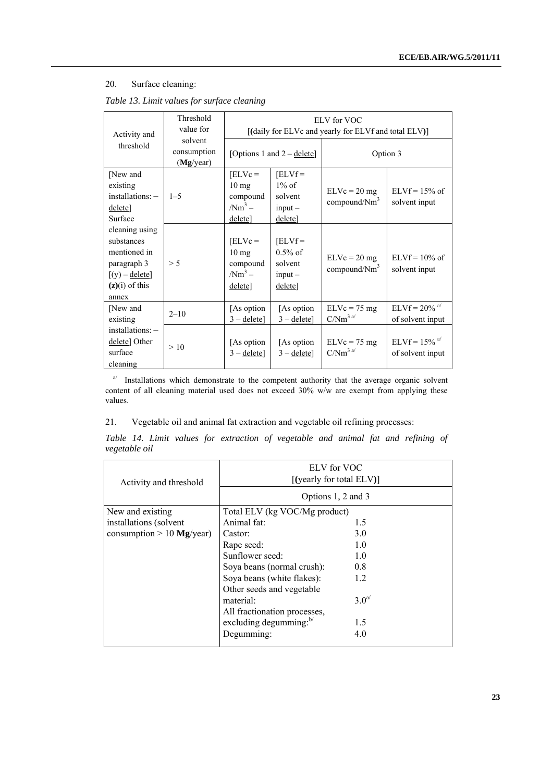# 20. Surface cleaning:

|  | Table 13. Limit values for surface cleaning |  |
|--|---------------------------------------------|--|
|  |                                             |  |

| Activity and                                                                                                 | Threshold<br>value for              | ELV for VOC<br>[(daily for ELVc and yearly for ELVf and total ELV)] |                                                           |                                          |                                                 |  |  |
|--------------------------------------------------------------------------------------------------------------|-------------------------------------|---------------------------------------------------------------------|-----------------------------------------------------------|------------------------------------------|-------------------------------------------------|--|--|
| threshold                                                                                                    | solvent<br>consumption<br>(Mg/year) |                                                                     | [Options 1 and $2 -$ delete]                              | Option 3                                 |                                                 |  |  |
| [New and<br>existing<br>$installations: -$<br>delete]<br>Surface                                             | $1 - 5$                             | $[ELVc =$<br>$10 \text{ mg}$<br>compound<br>$/Nm^3$ –<br>delete]    | $[ELVf =$<br>$1\%$ of<br>solvent<br>$input -$<br>delete]  | $ELVc = 20 mg$<br>compound/ $Nm^3$       | $ELYf = 15%$ of<br>solvent input                |  |  |
| cleaning using<br>substances<br>mentioned in<br>paragraph 3<br>$[(y) -$ delete]<br>$(z)(i)$ of this<br>annex | > 5                                 | $[ELVc =$<br>$10 \text{ mg}$<br>compound<br>$/Nm^3$ –<br>delete]    | $[ELVf =$<br>$0.5%$ of<br>solvent<br>$input -$<br>delete] | $ELVc = 20 mg$<br>compound/ $Nm^3$       | $ELYf = 10\%$ of<br>solvent input               |  |  |
| [New and<br>existing                                                                                         | $2 - 10$                            | [As option]<br>$3 -$ delete]                                        | [As option]<br>$3 -$ delete]                              | $ELVc = 75 mg$<br>$C/Nm^3$ <sup>a/</sup> | $ELVf = 20\%$ <sup>a/</sup><br>of solvent input |  |  |
| $installations: -$<br>delete] Other<br>surface<br>cleaning                                                   | >10                                 | [As option]<br>$3 -$ delete]                                        | [As option]<br>$3 -$ delete]                              | $ELVc = 75 mg$<br>$C/Nm^3$ <sup>a/</sup> | $ELVf = 15\%$ <sup>a/</sup><br>of solvent input |  |  |

a/ Installations which demonstrate to the competent authority that the average organic solvent content of all cleaning material used does not exceed 30% w/w are exempt from applying these values.

# 21. Vegetable oil and animal fat extraction and vegetable oil refining processes:

|               |  |  | Table 14. Limit values for extraction of vegetable and animal fat and refining of |  |  |  |  |
|---------------|--|--|-----------------------------------------------------------------------------------|--|--|--|--|
| vegetable oil |  |  |                                                                                   |  |  |  |  |

| Activity and threshold      | ELV for VOC<br>$[$ (yearly for total ELV) $]$ |        |  |  |  |
|-----------------------------|-----------------------------------------------|--------|--|--|--|
|                             | Options 1, 2 and 3                            |        |  |  |  |
| New and existing            | Total ELV (kg VOC/Mg product)                 |        |  |  |  |
| installations (solvent      | Animal fat:                                   | 1.5    |  |  |  |
| consumption $> 10$ Mg/year) | Castor:                                       | 3.0    |  |  |  |
|                             | Rape seed:                                    | 1.0    |  |  |  |
|                             | Sunflower seed:                               | 1.0    |  |  |  |
|                             | Soya beans (normal crush):                    | 0.8    |  |  |  |
|                             | Soya beans (white flakes):                    | 1.2    |  |  |  |
|                             | Other seeds and vegetable                     |        |  |  |  |
|                             | material:                                     | $3.0a$ |  |  |  |
|                             | All fractionation processes,                  |        |  |  |  |
|                             | excluding degumming:b/                        | 1.5    |  |  |  |
|                             | Degumming:                                    | 4.0    |  |  |  |
|                             |                                               |        |  |  |  |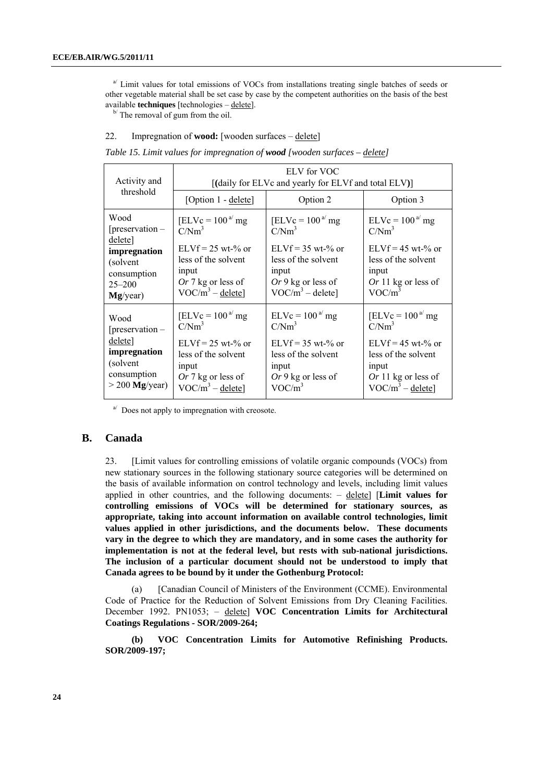<sup>a</sup>/Limit values for total emissions of VOCs from installations treating single batches of seeds or other vegetable material shall be set case by case by the competent authorities on the basis of the best available **techniques** [technologies – delete]. b/ The removal of gum from the oil.

#### 22. Impregnation of **wood:** [wooden surfaces – delete]

|  |  |  | Table 15. Limit values for impregnation of <b>wood</b> [wooden surfaces – delete] |  |
|--|--|--|-----------------------------------------------------------------------------------|--|
|  |  |  |                                                                                   |  |

| Activity and                                                                                               | ELV for VOC<br>[(daily for ELVc and yearly for ELVf and total ELV)]                                                                           |                                                                                                                                            |                                                                                                                                       |  |  |  |  |
|------------------------------------------------------------------------------------------------------------|-----------------------------------------------------------------------------------------------------------------------------------------------|--------------------------------------------------------------------------------------------------------------------------------------------|---------------------------------------------------------------------------------------------------------------------------------------|--|--|--|--|
| threshold                                                                                                  | [Option 1 - delete]                                                                                                                           | Option 2                                                                                                                                   | Option 3                                                                                                                              |  |  |  |  |
| Wood<br>$[preservation -$<br>delete]<br>impregnation<br>(solvent)<br>consumption<br>$25 - 200$<br>Mg/year) | [ELVc = $100a$ mg<br>C/Nm <sup>3</sup><br>$ELVf = 25$ wt-% or<br>less of the solvent<br>input<br>Or 7 kg or less of<br>$VOC/m^3 -$ delete]    | [ELVc = $100a$ mg<br>C/Nm <sup>3</sup><br>$ELVf = 35$ wt-% or<br>less of the solvent<br>input<br>Or 9 kg or less of<br>$VOC/m^3$ – delete] | $ELVc = 100a mg$<br>C/Nm <sup>3</sup><br>$ELVf = 45$ wt-% or<br>less of the solvent<br>input<br>Or 11 kg or less of<br>$VOC/m^3$      |  |  |  |  |
| Wood<br>$[preservation -$<br>delete]<br>impregnation<br>(solvent)<br>consumption<br>$>$ 200 Mg/year)       | [ELVc = $100^{a}$ mg<br>C/Nm <sup>3</sup><br>$ELVf = 25$ wt-% or<br>less of the solvent<br>input<br>Or 7 kg or less of<br>$VOC/m^3$ – delete] | $ELVc = 100a mg$<br>$C/Nm^3$<br>$ELVf = 35$ wt-% or<br>less of the solvent<br>input<br>$Or 9$ kg or less of<br>$VOC/m^3$                   | [ELVc = $100^{a}$ mg<br>$C/Nm^3$<br>$ELVf = 45$ wt-% or<br>less of the solvent<br>input<br>Or 11 kg or less of<br>$VOC/m^3 -$ delete] |  |  |  |  |

 $a^{j}$  Does not apply to impregnation with creosote.

#### **B. Canada**

23. [Limit values for controlling emissions of volatile organic compounds (VOCs) from new stationary sources in the following stationary source categories will be determined on the basis of available information on control technology and levels, including limit values applied in other countries, and the following documents: – delete] [**Limit values for controlling emissions of VOCs will be determined for stationary sources, as appropriate, taking into account information on available control technologies, limit values applied in other jurisdictions, and the documents below. These documents vary in the degree to which they are mandatory, and in some cases the authority for implementation is not at the federal level, but rests with sub-national jurisdictions. The inclusion of a particular document should not be understood to imply that Canada agrees to be bound by it under the Gothenburg Protocol:**

 (a) [Canadian Council of Ministers of the Environment (CCME). Environmental Code of Practice for the Reduction of Solvent Emissions from Dry Cleaning Facilities. December 1992. PN1053; – delete] **VOC Concentration Limits for Architectural Coatings Regulations - SOR/2009-264;** 

 **(b) VOC Concentration Limits for Automotive Refinishing Products. SOR/2009-197;**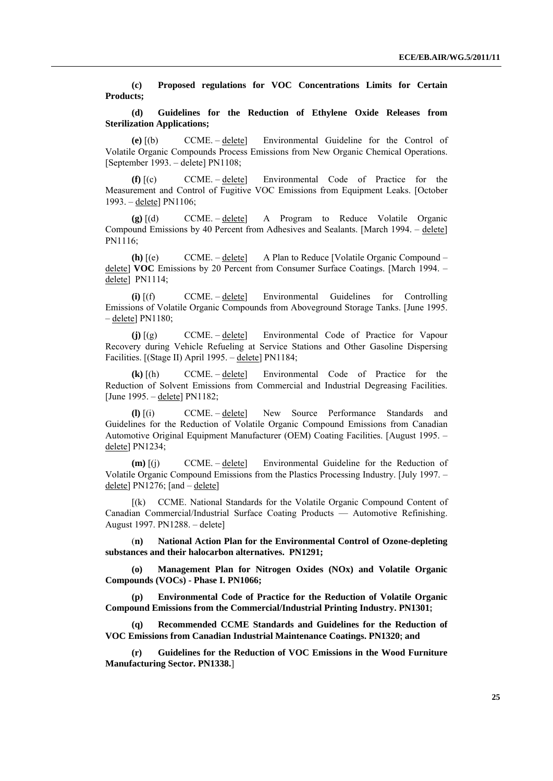**(c) Proposed regulations for VOC Concentrations Limits for Certain Products;** 

 **(d) Guidelines for the Reduction of Ethylene Oxide Releases from Sterilization Applications;**

**(e)** [(b) CCME. – delete] Environmental Guideline for the Control of Volatile Organic Compounds Process Emissions from New Organic Chemical Operations. [September 1993. – delete] PN1108;

**(f)** [(c) CCME. – delete] Environmental Code of Practice for the Measurement and Control of Fugitive VOC Emissions from Equipment Leaks. [October 1993. – delete] PN1106;

**(g)** [(d) CCME. – delete] A Program to Reduce Volatile Organic Compound Emissions by 40 Percent from Adhesives and Sealants. [March 1994. – delete] PN1116;

**(h)** [(e) CCME. – delete] A Plan to Reduce [Volatile Organic Compound – delete] **VOC** Emissions by 20 Percent from Consumer Surface Coatings. [March 1994. – delete] PN1114;

**(i)** [(f) CCME. – delete] Environmental Guidelines for Controlling Emissions of Volatile Organic Compounds from Aboveground Storage Tanks. [June 1995.  $-\text{delete}$ ] PN1180;

**(j)** [(g) CCME. – delete] Environmental Code of Practice for Vapour Recovery during Vehicle Refueling at Service Stations and Other Gasoline Dispersing Facilities. [(Stage II) April 1995. – delete] PN1184;

**(k)** [(h) CCME. – delete] Environmental Code of Practice for the Reduction of Solvent Emissions from Commercial and Industrial Degreasing Facilities. [June 1995. – delete] PN1182;

**(l)** [(i) CCME. – delete] New Source Performance Standards and Guidelines for the Reduction of Volatile Organic Compound Emissions from Canadian Automotive Original Equipment Manufacturer (OEM) Coating Facilities. [August 1995. – delete] PN1234;

**(m)** [(j) CCME. – delete] Environmental Guideline for the Reduction of Volatile Organic Compound Emissions from the Plastics Processing Industry. [July 1997. – delete] PN1276; [and – delete]

 [(k) CCME. National Standards for the Volatile Organic Compound Content of Canadian Commercial/Industrial Surface Coating Products — Automotive Refinishing. August 1997. PN1288. – delete]

 (**n) National Action Plan for the Environmental Control of Ozone-depleting substances and their halocarbon alternatives. PN1291;** 

 **(o) Management Plan for Nitrogen Oxides (NOx) and Volatile Organic Compounds (VOCs) - Phase I. PN1066;** 

 **(p) [Environmental Code of Practice for the Reduction of Volatile Organic](http://www.ccme.ca/assets/pdf/voc_printing_1301_e.pdf)  [Compound Emissions from the Commercial/Industrial Printing Industry. PN1301](http://www.ccme.ca/assets/pdf/voc_printing_1301_e.pdf);** 

**(q) [Recommended CCME Standards and Guidelines for the Reduction of](http://www.ccme.ca/assets/pdf/pn_1320_bookmarks_e.pdf)  [VOC Emissions from Canadian Industrial Maintenance Coatings. PN1320](http://www.ccme.ca/assets/pdf/pn_1320_bookmarks_e.pdf); and**

**(r) Guidelines for the Reduction of VOC Emissions in the Wood Furniture Manufacturing Sector. PN1338.**]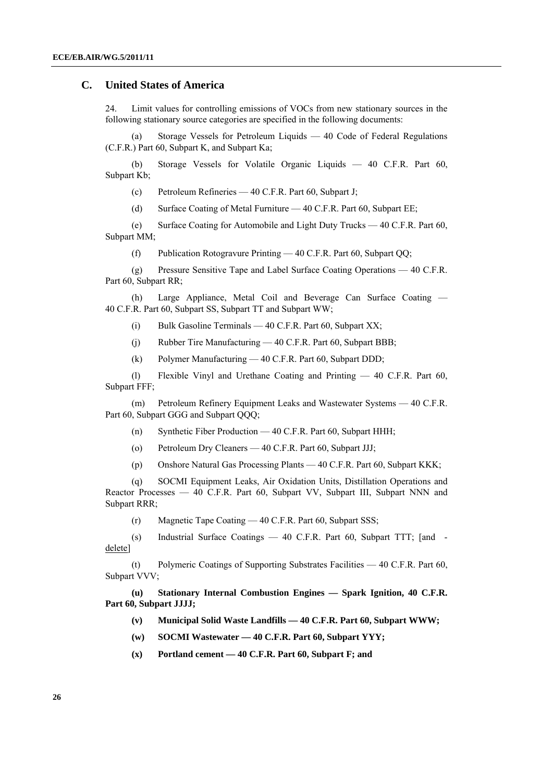### **C. United States of America**

24. Limit values for controlling emissions of VOCs from new stationary sources in the following stationary source categories are specified in the following documents:

 (a) Storage Vessels for Petroleum Liquids — 40 Code of Federal Regulations (C.F.R.) Part 60, Subpart K, and Subpart Ka;

 (b) Storage Vessels for Volatile Organic Liquids — 40 C.F.R. Part 60, Subpart Kb;

(c) Petroleum Refineries — 40 C.F.R. Part 60, Subpart J;

(d) Surface Coating of Metal Furniture — 40 C.F.R. Part 60, Subpart EE;

 (e) Surface Coating for Automobile and Light Duty Trucks — 40 C.F.R. Part 60, Subpart MM;

(f) Publication Rotogravure Printing — 40 C.F.R. Part 60, Subpart QQ;

 (g) Pressure Sensitive Tape and Label Surface Coating Operations — 40 C.F.R. Part 60, Subpart RR;

 (h) Large Appliance, Metal Coil and Beverage Can Surface Coating — 40 C.F.R. Part 60, Subpart SS, Subpart TT and Subpart WW;

- (i) Bulk Gasoline Terminals 40 C.F.R. Part 60, Subpart XX;
- (j) Rubber Tire Manufacturing 40 C.F.R. Part 60, Subpart BBB;
- (k) Polymer Manufacturing 40 C.F.R. Part 60, Subpart DDD;

 (l) Flexible Vinyl and Urethane Coating and Printing — 40 C.F.R. Part 60, Subpart FFF;

 (m) Petroleum Refinery Equipment Leaks and Wastewater Systems — 40 C.F.R. Part 60, Subpart GGG and Subpart QQQ;

- (n) Synthetic Fiber Production 40 C.F.R. Part 60, Subpart HHH;
- (o) Petroleum Dry Cleaners 40 C.F.R. Part 60, Subpart JJJ;
- (p) Onshore Natural Gas Processing Plants 40 C.F.R. Part 60, Subpart KKK;

 (q) SOCMI Equipment Leaks, Air Oxidation Units, Distillation Operations and Reactor Processes — 40 C.F.R. Part 60, Subpart VV, Subpart III, Subpart NNN and Subpart RRR;

(r) Magnetic Tape Coating — 40 C.F.R. Part 60, Subpart SSS;

 (s) Industrial Surface Coatings — 40 C.F.R. Part 60, Subpart TTT; [and delete]

 (t) Polymeric Coatings of Supporting Substrates Facilities — 40 C.F.R. Part 60, Subpart VVV;

**(u) Stationary Internal Combustion Engines — Spark Ignition, 40 C.F.R. Part 60, Subpart JJJJ;** 

- **(v) Municipal Solid Waste Landfills 40 C.F.R. Part 60, Subpart WWW;**
- **(w) SOCMI Wastewater 40 C.F.R. Part 60, Subpart YYY;**
- **(x) Portland cement 40 C.F.R. Part 60, Subpart F; and**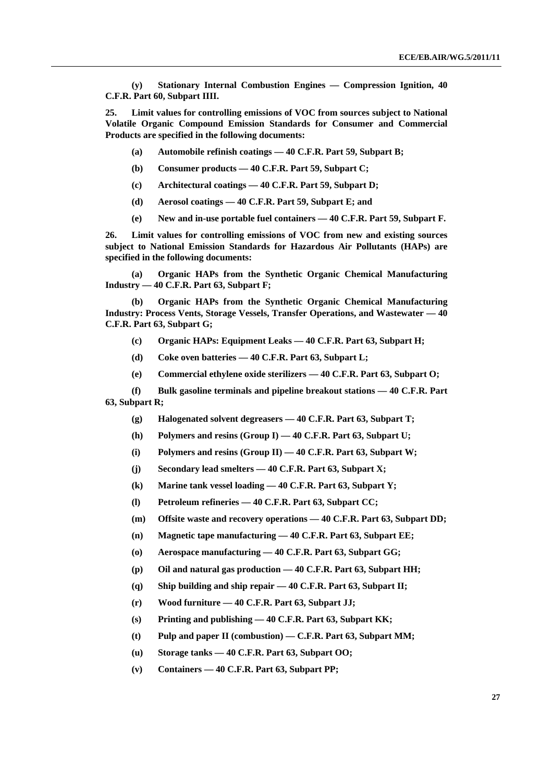**(y) Stationary Internal Combustion Engines — Compression Ignition, 40 C.F.R. Part 60, Subpart IIII.**

**25. Limit values for controlling emissions of VOC from sources subject to National Volatile Organic Compound Emission Standards for Consumer and Commercial Products are specified in the following documents:** 

- **(a) Automobile refinish coatings 40 C.F.R. Part 59, Subpart B;**
- **(b) Consumer products 40 C.F.R. Part 59, Subpart C;**
- **(c) Architectural coatings 40 C.F.R. Part 59, Subpart D;**
- **(d) Aerosol coatings 40 C.F.R. Part 59, Subpart E; and**
- **(e) New and in-use portable fuel containers 40 C.F.R. Part 59, Subpart F.**

**26. Limit values for controlling emissions of VOC from new and existing sources subject to National Emission Standards for Hazardous Air Pollutants (HAPs) are specified in the following documents:** 

 **(a) Organic HAPs from the Synthetic Organic Chemical Manufacturing Industry — 40 C.F.R. Part 63, Subpart F;** 

 **(b) Organic HAPs from the Synthetic Organic Chemical Manufacturing Industry: Process Vents, Storage Vessels, Transfer Operations, and Wastewater — 40 C.F.R. Part 63, Subpart G;** 

- **(c) Organic HAPs: Equipment Leaks 40 C.F.R. Part 63, Subpart H;**
- **(d) Coke oven batteries 40 C.F.R. Part 63, Subpart L;**
- **(e) Commercial ethylene oxide sterilizers 40 C.F.R. Part 63, Subpart O;**

 **(f) Bulk gasoline terminals and pipeline breakout stations — 40 C.F.R. Part 63, Subpart R;** 

- **(g) Halogenated solvent degreasers 40 C.F.R. Part 63, Subpart T;**
- **(h) Polymers and resins (Group I) 40 C.F.R. Part 63, Subpart U;**
- **(i) Polymers and resins (Group II) 40 C.F.R. Part 63, Subpart W;**
- **(j) Secondary lead smelters 40 C.F.R. Part 63, Subpart X;**
- **(k) Marine tank vessel loading 40 C.F.R. Part 63, Subpart Y;**
- **(l) Petroleum refineries 40 C.F.R. Part 63, Subpart CC;**
- **(m) Offsite waste and recovery operations 40 C.F.R. Part 63, Subpart DD;**
- **(n) Magnetic tape manufacturing 40 C.F.R. Part 63, Subpart EE;**
- **(o) Aerospace manufacturing 40 C.F.R. Part 63, Subpart GG;**
- **(p) Oil and natural gas production 40 C.F.R. Part 63, Subpart HH;**
- **(q) Ship building and ship repair 40 C.F.R. Part 63, Subpart II;**
- **(r) Wood furniture 40 C.F.R. Part 63, Subpart JJ;**
- **(s) Printing and publishing 40 C.F.R. Part 63, Subpart KK;**
- **(t) Pulp and paper II (combustion) C.F.R. Part 63, Subpart MM;**
- **(u) Storage tanks 40 C.F.R. Part 63, Subpart OO;**
- **(v) Containers 40 C.F.R. Part 63, Subpart PP;**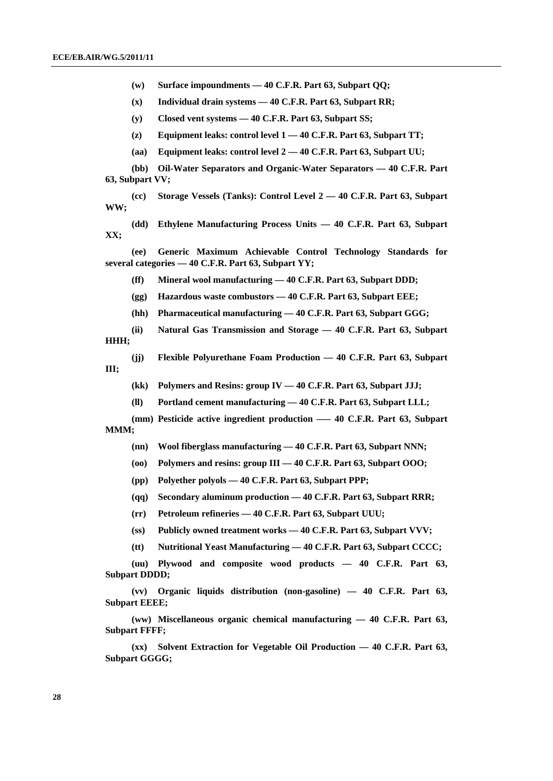**(w) Surface impoundments — 40 C.F.R. Part 63, Subpart QQ;** 

 **(x) Individual drain systems — 40 C.F.R. Part 63, Subpart RR;** 

 **(y) Closed vent systems — 40 C.F.R. Part 63, Subpart SS;** 

 **(z) Equipment leaks: control level 1 — 40 C.F.R. Part 63, Subpart TT;** 

 **(aa) Equipment leaks: control level 2 — 40 C.F.R. Part 63, Subpart UU;** 

**(bb) Oil-Water Separators and Organic-Water Separators — 40 C.F.R. Part 63, Subpart VV;** 

 **(cc) Storage Vessels (Tanks): Control Level 2 — 40 C.F.R. Part 63, Subpart WW;** 

 **(dd) Ethylene Manufacturing Process Units — 40 C.F.R. Part 63, Subpart XX;** 

**(ee) Generic Maximum Achievable Control Technology Standards for several categories — 40 C.F.R. Part 63, Subpart YY;** 

 **(ff) Mineral wool manufacturing — 40 C.F.R. Part 63, Subpart DDD;** 

 **(gg) Hazardous waste combustors — 40 C.F.R. Part 63, Subpart EEE;** 

 **(hh) Pharmaceutical manufacturing — 40 C.F.R. Part 63, Subpart GGG;** 

 **(ii) Natural Gas Transmission and Storage — 40 C.F.R. Part 63, Subpart HHH;** 

 **(jj) Flexible Polyurethane Foam Production — 40 C.F.R. Part 63, Subpart III;** 

 **(kk) Polymers and Resins: group IV — 40 C.F.R. Part 63, Subpart JJJ;** 

 **(ll) Portland cement manufacturing — 40 C.F.R. Part 63, Subpart LLL;** 

 **(mm) Pesticide active ingredient production –— 40 C.F.R. Part 63, Subpart MMM;** 

 **(nn) Wool fiberglass manufacturing — 40 C.F.R. Part 63, Subpart NNN;** 

 **(oo) Polymers and resins: group III — 40 C.F.R. Part 63, Subpart OOO;** 

 **(pp) Polyether polyols — 40 C.F.R. Part 63, Subpart PPP;** 

 **(qq) Secondary aluminum production — 40 C.F.R. Part 63, Subpart RRR;** 

 **(rr) Petroleum refineries — 40 C.F.R. Part 63, Subpart UUU;** 

 **(ss) Publicly owned treatment works — 40 C.F.R. Part 63, Subpart VVV;** 

 **(tt) Nutritional Yeast Manufacturing — 40 C.F.R. Part 63, Subpart CCCC;** 

 **(uu) Plywood and composite wood products — 40 C.F.R. Part 63, Subpart DDDD;** 

**(vv) Organic liquids distribution (non-gasoline) — 40 C.F.R. Part 63, Subpart EEEE;** 

**(ww) Miscellaneous organic chemical manufacturing — 40 C.F.R. Part 63, Subpart FFFF;** 

**(xx) Solvent Extraction for Vegetable Oil Production — 40 C.F.R. Part 63, Subpart GGGG;**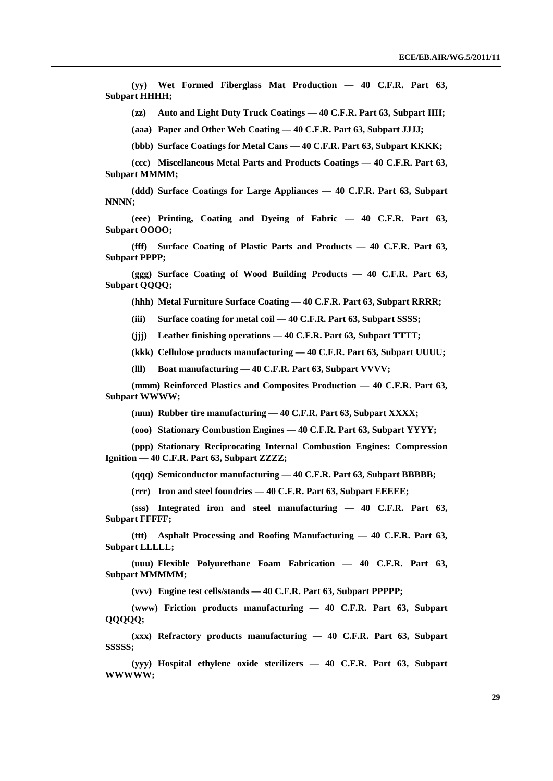**(yy) Wet Formed Fiberglass Mat Production — 40 C.F.R. Part 63, Subpart HHHH;** 

 **(zz) Auto and Light Duty Truck Coatings — 40 C.F.R. Part 63, Subpart IIII;** 

 **(aaa) Paper and Other Web Coating — 40 C.F.R. Part 63, Subpart JJJJ;** 

 **(bbb) Surface Coatings for Metal Cans — 40 C.F.R. Part 63, Subpart KKKK;** 

**(ccc) Miscellaneous Metal Parts and Products Coatings — 40 C.F.R. Part 63, Subpart MMMM;** 

 **(ddd) Surface Coatings for Large Appliances — 40 C.F.R. Part 63, Subpart NNNN;** 

 **(eee) Printing, Coating and Dyeing of Fabric — 40 C.F.R. Part 63, Subpart OOOO;** 

**(fff) Surface Coating of Plastic Parts and Products — 40 C.F.R. Part 63, Subpart PPPP;** 

**(ggg) Surface Coating of Wood Building Products — 40 C.F.R. Part 63, Subpart QQQQ;** 

 **(hhh) Metal Furniture Surface Coating — 40 C.F.R. Part 63, Subpart RRRR;** 

 **(iii) Surface coating for metal coil — 40 C.F.R. Part 63, Subpart SSSS;** 

 **(jjj) Leather finishing operations — 40 C.F.R. Part 63, Subpart TTTT;** 

 **(kkk) Cellulose products manufacturing — 40 C.F.R. Part 63, Subpart UUUU;** 

 **(lll) Boat manufacturing — 40 C.F.R. Part 63, Subpart VVVV;** 

**(mmm) Reinforced Plastics and Composites Production — 40 C.F.R. Part 63, Subpart WWWW;** 

 **(nnn) Rubber tire manufacturing — 40 C.F.R. Part 63, Subpart XXXX;** 

 **(ooo) Stationary Combustion Engines — 40 C.F.R. Part 63, Subpart YYYY;** 

**(ppp) Stationary Reciprocating Internal Combustion Engines: Compression Ignition — 40 C.F.R. Part 63, Subpart ZZZZ;** 

 **(qqq) Semiconductor manufacturing — 40 C.F.R. Part 63, Subpart BBBBB;** 

 **(rrr) Iron and steel foundries — 40 C.F.R. Part 63, Subpart EEEEE;** 

 **(sss) Integrated iron and steel manufacturing — 40 C.F.R. Part 63, Subpart FFFFF;** 

**(ttt) Asphalt Processing and Roofing Manufacturing — 40 C.F.R. Part 63, Subpart LLLLL;** 

**(uuu) Flexible Polyurethane Foam Fabrication — 40 C.F.R. Part 63, Subpart MMMMM;** 

 **(vvv) Engine test cells/stands — 40 C.F.R. Part 63, Subpart PPPPP;** 

 **(www) Friction products manufacturing — 40 C.F.R. Part 63, Subpart QQQQQ;** 

 **(xxx) Refractory products manufacturing — 40 C.F.R. Part 63, Subpart SSSSS;** 

 **(yyy) Hospital ethylene oxide sterilizers — 40 C.F.R. Part 63, Subpart WWWWW;**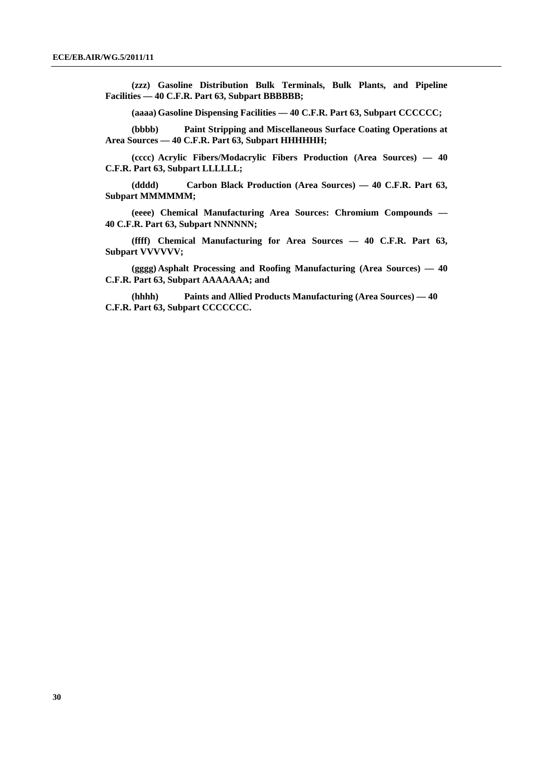**(zzz) Gasoline Distribution Bulk Terminals, Bulk Plants, and Pipeline Facilities — 40 C.F.R. Part 63, Subpart BBBBBB;** 

 **(aaaa) Gasoline Dispensing Facilities — 40 C.F.R. Part 63, Subpart CCCCCC;** 

 **(bbbb) Paint Stripping and Miscellaneous Surface Coating Operations at Area Sources — 40 C.F.R. Part 63, Subpart HHHHHH;** 

 **(cccc) Acrylic Fibers/Modacrylic Fibers Production (Area Sources) — 40 C.F.R. Part 63, Subpart LLLLLL;** 

 **(dddd) Carbon Black Production (Area Sources) — 40 C.F.R. Part 63, Subpart MMMMMM;** 

 **(eeee) Chemical Manufacturing Area Sources: Chromium Compounds — 40 C.F.R. Part 63, Subpart NNNNNN;** 

 **(ffff) Chemical Manufacturing for Area Sources — 40 C.F.R. Part 63, Subpart VVVVVV;** 

 **(gggg) Asphalt Processing and Roofing Manufacturing (Area Sources) — 40 C.F.R. Part 63, Subpart AAAAAAA; and** 

 **(hhhh) Paints and Allied Products Manufacturing (Area Sources) — 40 C.F.R. Part 63, Subpart CCCCCCC.**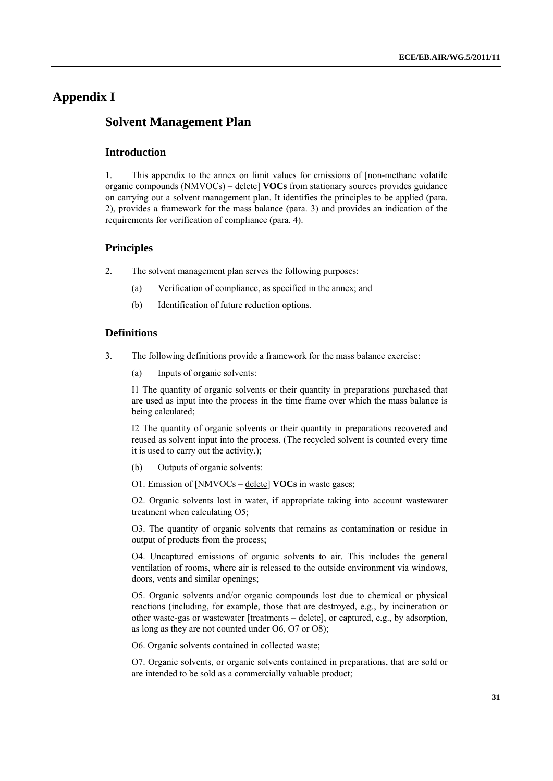# **Appendix I**

# **Solvent Management Plan**

### **Introduction**

1. This appendix to the annex on limit values for emissions of [non-methane volatile organic compounds (NMVOCs) – delete] **VOCs** from stationary sources provides guidance on carrying out a solvent management plan. It identifies the principles to be applied (para. 2), provides a framework for the mass balance (para. 3) and provides an indication of the requirements for verification of compliance (para. 4).

### **Principles**

- 2. The solvent management plan serves the following purposes:
	- (a) Verification of compliance, as specified in the annex; and
	- (b) Identification of future reduction options.

#### **Definitions**

- 3. The following definitions provide a framework for the mass balance exercise:
	- (a) Inputs of organic solvents:

I1 The quantity of organic solvents or their quantity in preparations purchased that are used as input into the process in the time frame over which the mass balance is being calculated;

I2 The quantity of organic solvents or their quantity in preparations recovered and reused as solvent input into the process. (The recycled solvent is counted every time it is used to carry out the activity.);

- (b) Outputs of organic solvents:
- O1. Emission of [NMVOCs delete] **VOCs** in waste gases;

O2. Organic solvents lost in water, if appropriate taking into account wastewater treatment when calculating O5;

O3. The quantity of organic solvents that remains as contamination or residue in output of products from the process;

O4. Uncaptured emissions of organic solvents to air. This includes the general ventilation of rooms, where air is released to the outside environment via windows, doors, vents and similar openings;

O5. Organic solvents and/or organic compounds lost due to chemical or physical reactions (including, for example, those that are destroyed, e.g., by incineration or other waste-gas or wastewater [treatments – delete], or captured, e.g., by adsorption, as long as they are not counted under O6, O7 or O8);

O6. Organic solvents contained in collected waste;

O7. Organic solvents, or organic solvents contained in preparations, that are sold or are intended to be sold as a commercially valuable product;